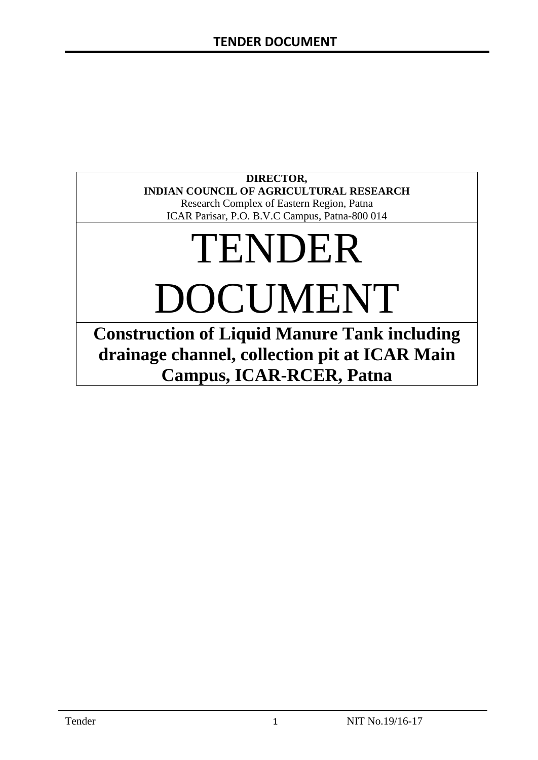### **DIRECTOR, INDIAN COUNCIL OF AGRICULTURAL RESEARCH**

Research Complex of Eastern Region, Patna ICAR Parisar, P.O. B.V.C Campus, Patna-800 014

# TENDER DOCUMENT

**Construction of Liquid Manure Tank including drainage channel, collection pit at ICAR Main Campus, ICAR-RCER, Patna**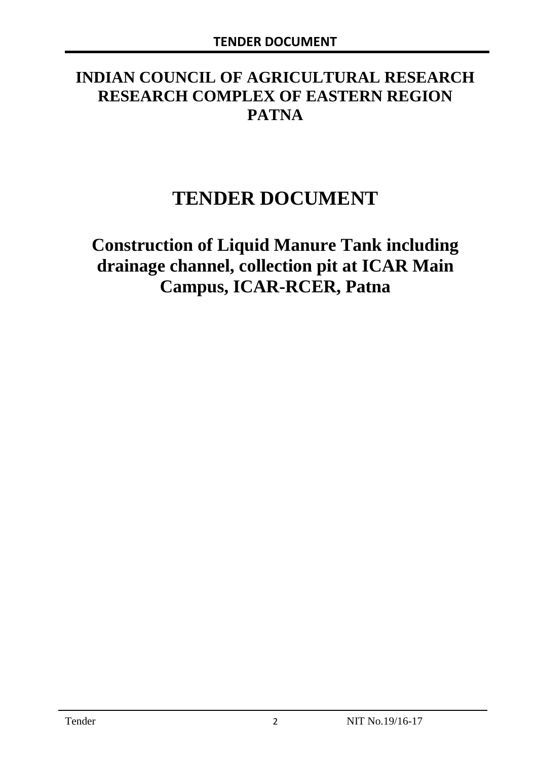# **INDIAN COUNCIL OF AGRICULTURAL RESEARCH RESEARCH COMPLEX OF EASTERN REGION PATNA**

# **TENDER DOCUMENT**

**Construction of Liquid Manure Tank including drainage channel, collection pit at ICAR Main Campus, ICAR-RCER, Patna**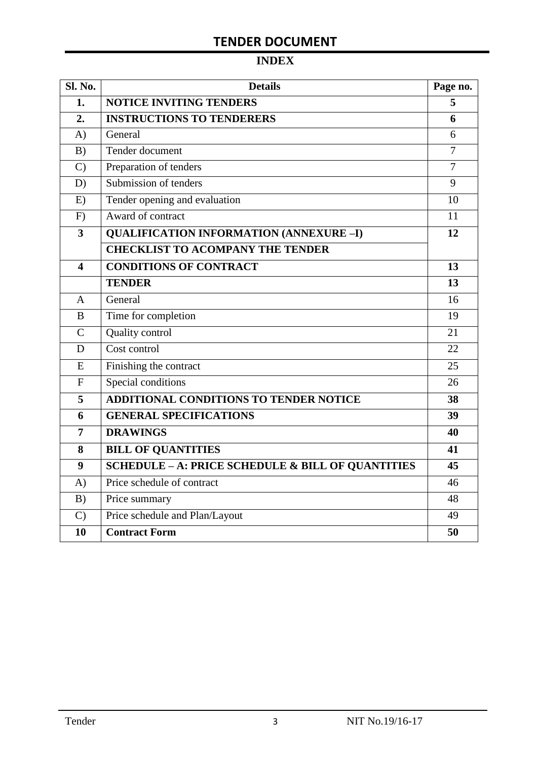# **INDEX**

| <b>Sl. No.</b> | <b>Details</b>                                    | Page no.       |
|----------------|---------------------------------------------------|----------------|
| 1.             | <b>NOTICE INVITING TENDERS</b>                    | 5              |
| 2.             | <b>INSTRUCTIONS TO TENDERERS</b>                  | 6              |
| A)             | General                                           | 6              |
| B)             | Tender document                                   | $\overline{7}$ |
| $\mathcal{C}$  | Preparation of tenders                            | $\overline{7}$ |
| D)             | Submission of tenders                             | 9              |
| E)             | Tender opening and evaluation                     | 10             |
| F)             | Award of contract                                 | 11             |
| 3              | <b>QUALIFICATION INFORMATION (ANNEXURE-I)</b>     | 12             |
|                | <b>CHECKLIST TO ACOMPANY THE TENDER</b>           |                |
| 4              | <b>CONDITIONS OF CONTRACT</b>                     | 13             |
|                | <b>TENDER</b>                                     | 13             |
| A              | General                                           | 16             |
| B              | Time for completion                               | 19             |
| $\overline{C}$ | Quality control                                   | 21             |
| D              | Cost control                                      | 22             |
| E              | Finishing the contract                            | 25             |
| $\overline{F}$ | Special conditions                                | 26             |
| 5              | ADDITIONAL CONDITIONS TO TENDER NOTICE            | 38             |
| 6              | <b>GENERAL SPECIFICATIONS</b>                     | 39             |
| $\overline{7}$ | <b>DRAWINGS</b>                                   | 40             |
| 8              | <b>BILL OF QUANTITIES</b>                         | 41             |
| 9              | SCHEDULE - A: PRICE SCHEDULE & BILL OF QUANTITIES | 45             |
| A)             | Price schedule of contract                        | 46             |
| B)             | Price summary                                     | 48             |
| $\mathcal{C}$  | Price schedule and Plan/Layout                    | 49             |
| 10             | <b>Contract Form</b>                              | 50             |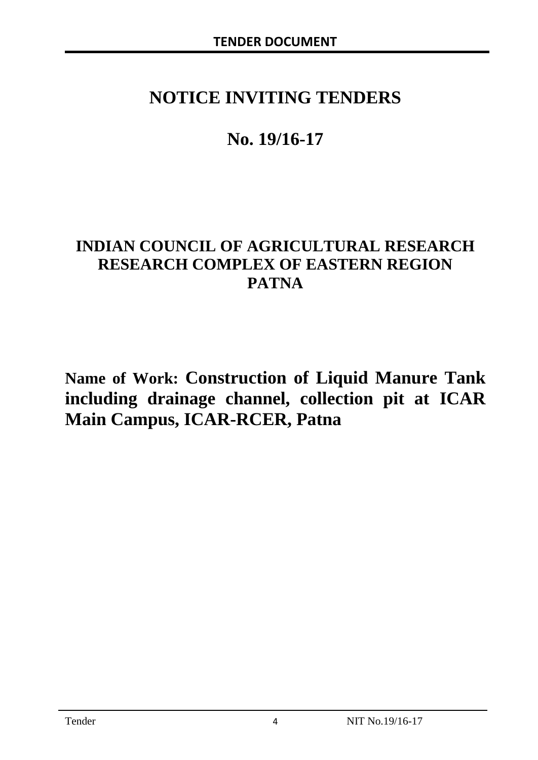# **NOTICE INVITING TENDERS**

# **No. 19/16-17**

# **INDIAN COUNCIL OF AGRICULTURAL RESEARCH RESEARCH COMPLEX OF EASTERN REGION PATNA**

**Name of Work: Construction of Liquid Manure Tank including drainage channel, collection pit at ICAR Main Campus, ICAR-RCER, Patna**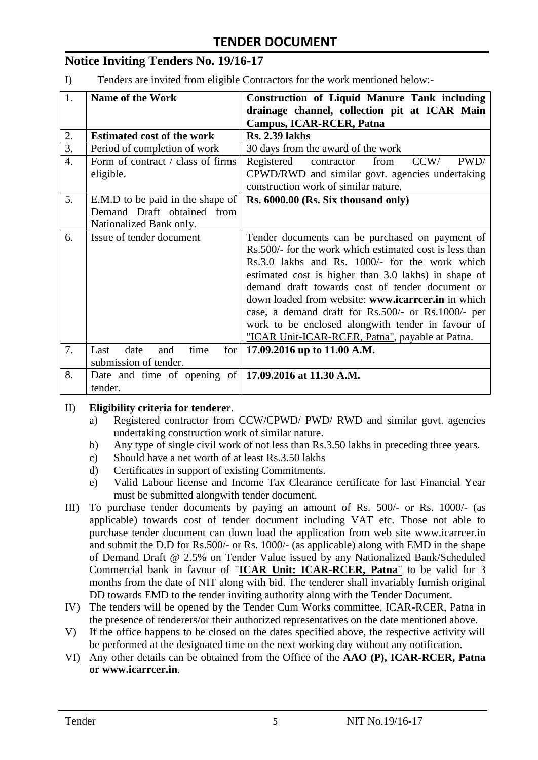# **Notice Inviting Tenders No. 19/16-17**

I) Tenders are invited from eligible Contractors for the work mentioned below:-

| 1.               | <b>Name of the Work</b>                                | <b>Construction of Liquid Manure Tank including</b>      |  |  |  |
|------------------|--------------------------------------------------------|----------------------------------------------------------|--|--|--|
|                  |                                                        | drainage channel, collection pit at ICAR Main            |  |  |  |
|                  |                                                        | <b>Campus, ICAR-RCER, Patna</b>                          |  |  |  |
| 2.               | <b>Estimated cost of the work</b>                      | <b>Rs. 2.39 lakhs</b>                                    |  |  |  |
| $\overline{3}$ . | Period of completion of work                           | 30 days from the award of the work                       |  |  |  |
| $\overline{4}$ . | Form of contract / class of firms                      | Registered<br>contractor<br>CCW/<br>PWD/<br>from         |  |  |  |
|                  | eligible.                                              | CPWD/RWD and similar govt. agencies undertaking          |  |  |  |
|                  |                                                        | construction work of similar nature.                     |  |  |  |
| 5.               | E.M.D to be paid in the shape of                       | Rs. 6000.00 (Rs. Six thousand only)                      |  |  |  |
|                  | Demand Draft obtained from                             |                                                          |  |  |  |
|                  | Nationalized Bank only.                                |                                                          |  |  |  |
| 6.               | Issue of tender document                               | Tender documents can be purchased on payment of          |  |  |  |
|                  |                                                        | Rs. 500/- for the work which estimated cost is less than |  |  |  |
|                  |                                                        | Rs.3.0 lakhs and Rs. 1000/- for the work which           |  |  |  |
|                  |                                                        | estimated cost is higher than 3.0 lakhs) in shape of     |  |  |  |
|                  |                                                        | demand draft towards cost of tender document or          |  |  |  |
|                  |                                                        | down loaded from website: www.icarreer.in in which       |  |  |  |
|                  |                                                        | case, a demand draft for Rs.500/- or Rs.1000/- per       |  |  |  |
|                  |                                                        | work to be enclosed alongwith tender in favour of        |  |  |  |
|                  |                                                        | "ICAR Unit-ICAR-RCER, Patna", payable at Patna.          |  |  |  |
| 7.               | date<br>for<br>Last<br>time<br>and                     | 17.09.2016 up to 11.00 A.M.                              |  |  |  |
|                  | submission of tender.                                  |                                                          |  |  |  |
| 8.               | Date and time of opening of   17.09.2016 at 11.30 A.M. |                                                          |  |  |  |
|                  | tender.                                                |                                                          |  |  |  |

#### II) **Eligibility criteria for tenderer.**

- a) Registered contractor from CCW/CPWD/ PWD/ RWD and similar govt. agencies undertaking construction work of similar nature.
- b) Any type of single civil work of not less than Rs.3.50 lakhs in preceding three years.
- c) Should have a net worth of at least Rs.3.50 lakhs
- d) Certificates in support of existing Commitments.
- e) Valid Labour license and Income Tax Clearance certificate for last Financial Year must be submitted alongwith tender document.
- III) To purchase tender documents by paying an amount of Rs. 500/- or Rs. 1000/- (as applicable) towards cost of tender document including VAT etc. Those not able to purchase tender document can down load the application from web site www.icarrcer.in and submit the D.D for Rs.500/- or Rs. 1000/- (as applicable) along with EMD in the shape of Demand Draft @ 2.5% on Tender Value issued by any Nationalized Bank/Scheduled Commercial bank in favour of "**ICAR Unit: ICAR-RCER, Patna**" to be valid for 3 months from the date of NIT along with bid. The tenderer shall invariably furnish original DD towards EMD to the tender inviting authority along with the Tender Document.
- IV) The tenders will be opened by the Tender Cum Works committee, ICAR-RCER, Patna in the presence of tenderers/or their authorized representatives on the date mentioned above.
- V) If the office happens to be closed on the dates specified above, the respective activity will be performed at the designated time on the next working day without any notification.
- VI) Any other details can be obtained from the Office of the **AAO (P), ICAR-RCER, Patna or www.icarrcer.in**.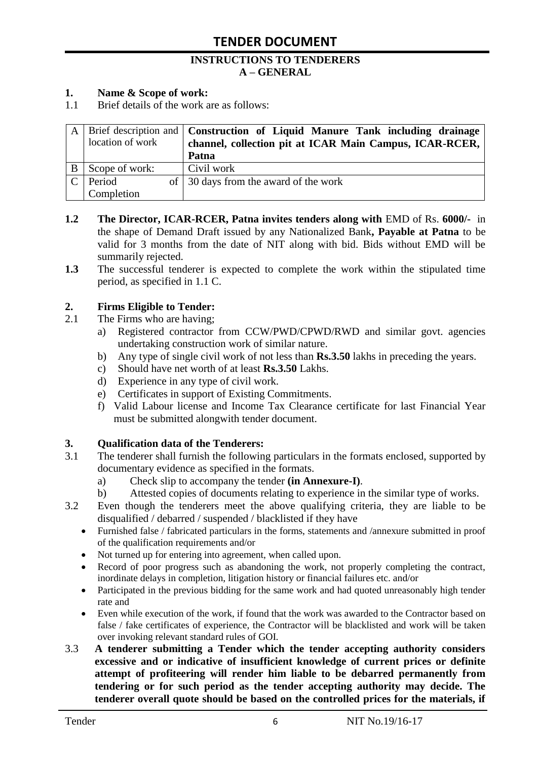#### **INSTRUCTIONS TO TENDERERS A – GENERAL**

#### **1. Name & Scope of work:**

1.1 Brief details of the work are as follows:

|                  | A   Brief description and   Construction of Liquid Manure Tank including drainage |
|------------------|-----------------------------------------------------------------------------------|
| location of work | channel, collection pit at ICAR Main Campus, ICAR-RCER,                           |
|                  | Patna                                                                             |
| Scope of work:   | Civil work                                                                        |
| Period           | of 30 days from the award of the work                                             |
| Completion       |                                                                                   |

- **1.2** The Director, ICAR-RCER, Patna invites tenders along with EMD of Rs. 6000/- in the shape of Demand Draft issued by any Nationalized Bank**, Payable at Patna** to be valid for 3 months from the date of NIT along with bid. Bids without EMD will be summarily rejected.
- **1.3** The successful tenderer is expected to complete the work within the stipulated time period, as specified in 1.1 C.

#### **2. Firms Eligible to Tender:**

- 2.1 The Firms who are having;
	- a) Registered contractor from CCW/PWD/CPWD/RWD and similar govt. agencies undertaking construction work of similar nature.
	- b) Any type of single civil work of not less than **Rs.3.50** lakhs in preceding the years.
	- c) Should have net worth of at least **Rs.3.50** Lakhs.
	- d) Experience in any type of civil work.
	- e) Certificates in support of Existing Commitments.
	- f) Valid Labour license and Income Tax Clearance certificate for last Financial Year must be submitted alongwith tender document.

#### **3. Qualification data of the Tenderers:**

- 3.1 The tenderer shall furnish the following particulars in the formats enclosed, supported by documentary evidence as specified in the formats.
	- a) Check slip to accompany the tender **(in Annexure-I)**.
	- b) Attested copies of documents relating to experience in the similar type of works.
- 3.2 Even though the tenderers meet the above qualifying criteria, they are liable to be disqualified / debarred / suspended / blacklisted if they have
	- Furnished false / fabricated particulars in the forms, statements and /annexure submitted in proof of the qualification requirements and/or
	- Not turned up for entering into agreement, when called upon.
	- Record of poor progress such as abandoning the work, not properly completing the contract, inordinate delays in completion, litigation history or financial failures etc. and/or
	- Participated in the previous bidding for the same work and had quoted unreasonably high tender rate and
	- Even while execution of the work, if found that the work was awarded to the Contractor based on false / fake certificates of experience, the Contractor will be blacklisted and work will be taken over invoking relevant standard rules of GOI.
- 3.3 **A tenderer submitting a Tender which the tender accepting authority considers excessive and or indicative of insufficient knowledge of current prices or definite attempt of profiteering will render him liable to be debarred permanently from tendering or for such period as the tender accepting authority may decide. The tenderer overall quote should be based on the controlled prices for the materials, if**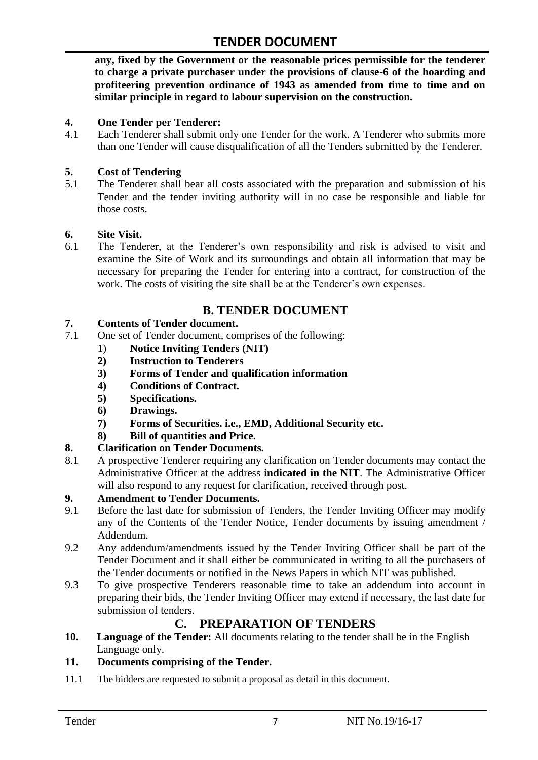**any, fixed by the Government or the reasonable prices permissible for the tenderer to charge a private purchaser under the provisions of clause-6 of the hoarding and profiteering prevention ordinance of 1943 as amended from time to time and on similar principle in regard to labour supervision on the construction.**

#### **4. One Tender per Tenderer:**

4.1 Each Tenderer shall submit only one Tender for the work. A Tenderer who submits more than one Tender will cause disqualification of all the Tenders submitted by the Tenderer.

#### **5. Cost of Tendering**

5.1 The Tenderer shall bear all costs associated with the preparation and submission of his Tender and the tender inviting authority will in no case be responsible and liable for those costs.

#### **6. Site Visit.**

6.1 The Tenderer, at the Tenderer"s own responsibility and risk is advised to visit and examine the Site of Work and its surroundings and obtain all information that may be necessary for preparing the Tender for entering into a contract, for construction of the work. The costs of visiting the site shall be at the Tenderer's own expenses.

# **B. TENDER DOCUMENT**

#### **7. Contents of Tender document.**

- 7.1 One set of Tender document, comprises of the following:
	- 1) **Notice Inviting Tenders (NIT)**
	- **2) Instruction to Tenderers**
	- **3) Forms of Tender and qualification information**
	- **4) Conditions of Contract.**
	- **5) Specifications.**
	- **6) Drawings.**
	- **7) Forms of Securities. i.e., EMD, Additional Security etc.**
	- **8) Bill of quantities and Price.**

#### **8. Clarification on Tender Documents.**

8.1 A prospective Tenderer requiring any clarification on Tender documents may contact the Administrative Officer at the address **indicated in the NIT**. The Administrative Officer will also respond to any request for clarification, received through post.

#### **9. Amendment to Tender Documents.**

- 9.1 Before the last date for submission of Tenders, the Tender Inviting Officer may modify any of the Contents of the Tender Notice, Tender documents by issuing amendment / Addendum.
- 9.2 Any addendum/amendments issued by the Tender Inviting Officer shall be part of the Tender Document and it shall either be communicated in writing to all the purchasers of the Tender documents or notified in the News Papers in which NIT was published.
- 9.3 To give prospective Tenderers reasonable time to take an addendum into account in preparing their bids, the Tender Inviting Officer may extend if necessary, the last date for submission of tenders.

## **C. PREPARATION OF TENDERS**

**10. Language of the Tender:** All documents relating to the tender shall be in the English Language only.

#### **11. Documents comprising of the Tender.**

11.1 The bidders are requested to submit a proposal as detail in this document.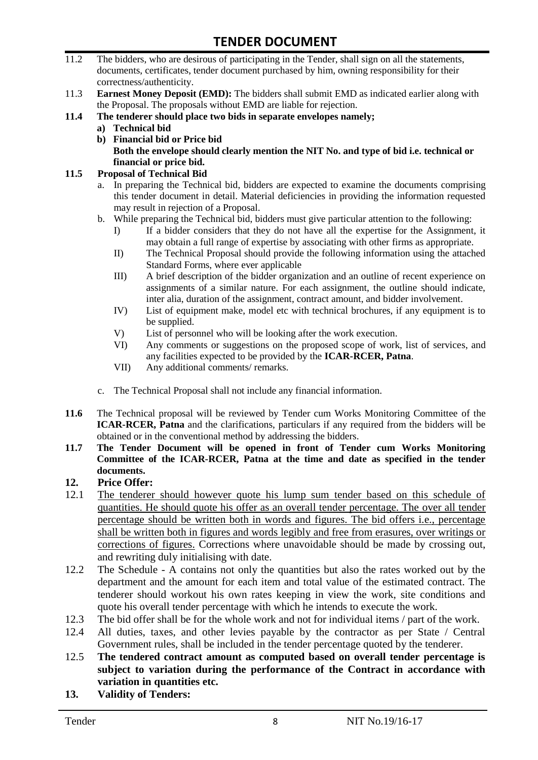- 11.2 The bidders, who are desirous of participating in the Tender, shall sign on all the statements, documents, certificates, tender document purchased by him, owning responsibility for their correctness/authenticity.
- 11.3 **Earnest Money Deposit (EMD):** The bidders shall submit EMD as indicated earlier along with the Proposal. The proposals without EMD are liable for rejection.
- **11.4 The tenderer should place two bids in separate envelopes namely;**
	- **a) Technical bid**
	- **b) Financial bid or Price bid Both the envelope should clearly mention the NIT No. and type of bid i.e. technical or financial or price bid.**

#### **11.5 Proposal of Technical Bid**

- a. In preparing the Technical bid, bidders are expected to examine the documents comprising this tender document in detail. Material deficiencies in providing the information requested may result in rejection of a Proposal.
- b. While preparing the Technical bid, bidders must give particular attention to the following:
	- I) If a bidder considers that they do not have all the expertise for the Assignment, it may obtain a full range of expertise by associating with other firms as appropriate.
	- II) The Technical Proposal should provide the following information using the attached Standard Forms, where ever applicable
	- III) A brief description of the bidder organization and an outline of recent experience on assignments of a similar nature. For each assignment, the outline should indicate, inter alia, duration of the assignment, contract amount, and bidder involvement.
	- IV) List of equipment make, model etc with technical brochures, if any equipment is to be supplied.
	- V) List of personnel who will be looking after the work execution.
	- VI) Any comments or suggestions on the proposed scope of work, list of services, and any facilities expected to be provided by the **ICAR-RCER, Patna**.
	- VII) Any additional comments/ remarks.
- c. The Technical Proposal shall not include any financial information.
- **11.6** The Technical proposal will be reviewed by Tender cum Works Monitoring Committee of the **ICAR-RCER, Patna** and the clarifications, particulars if any required from the bidders will be obtained or in the conventional method by addressing the bidders.
- **11.7 The Tender Document will be opened in front of Tender cum Works Monitoring Committee of the ICAR-RCER, Patna at the time and date as specified in the tender documents.**

#### **12. Price Offer:**

- 12.1 The tenderer should however quote his lump sum tender based on this schedule of quantities. He should quote his offer as an overall tender percentage. The over all tender percentage should be written both in words and figures. The bid offers i.e., percentage shall be written both in figures and words legibly and free from erasures, over writings or corrections of figures. Corrections where unavoidable should be made by crossing out, and rewriting duly initialising with date.
- 12.2 The Schedule A contains not only the quantities but also the rates worked out by the department and the amount for each item and total value of the estimated contract. The tenderer should workout his own rates keeping in view the work, site conditions and quote his overall tender percentage with which he intends to execute the work.
- 12.3 The bid offer shall be for the whole work and not for individual items / part of the work.
- 12.4 All duties, taxes, and other levies payable by the contractor as per State / Central Government rules, shall be included in the tender percentage quoted by the tenderer.
- 12.5 **The tendered contract amount as computed based on overall tender percentage is subject to variation during the performance of the Contract in accordance with variation in quantities etc.**
- **13. Validity of Tenders:**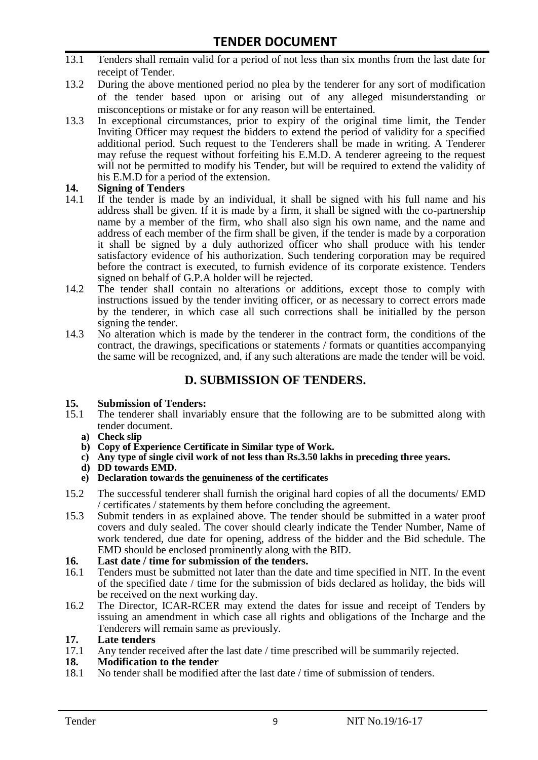- 13.1 Tenders shall remain valid for a period of not less than six months from the last date for receipt of Tender.
- 13.2 During the above mentioned period no plea by the tenderer for any sort of modification of the tender based upon or arising out of any alleged misunderstanding or misconceptions or mistake or for any reason will be entertained.
- 13.3 In exceptional circumstances, prior to expiry of the original time limit, the Tender Inviting Officer may request the bidders to extend the period of validity for a specified additional period. Such request to the Tenderers shall be made in writing. A Tenderer may refuse the request without forfeiting his E.M.D. A tenderer agreeing to the request will not be permitted to modify his Tender, but will be required to extend the validity of his E.M.D for a period of the extension.

# **14.** Signing of Tenders<br>14.1 If the tender is made

- If the tender is made by an individual, it shall be signed with his full name and his address shall be given. If it is made by a firm, it shall be signed with the co-partnership name by a member of the firm, who shall also sign his own name, and the name and address of each member of the firm shall be given, if the tender is made by a corporation it shall be signed by a duly authorized officer who shall produce with his tender satisfactory evidence of his authorization. Such tendering corporation may be required before the contract is executed, to furnish evidence of its corporate existence. Tenders signed on behalf of G.P.A holder will be rejected.
- 14.2 The tender shall contain no alterations or additions, except those to comply with instructions issued by the tender inviting officer, or as necessary to correct errors made by the tenderer, in which case all such corrections shall be initialled by the person signing the tender.
- 14.3 No alteration which is made by the tenderer in the contract form, the conditions of the contract, the drawings, specifications or statements / formats or quantities accompanying the same will be recognized, and, if any such alterations are made the tender will be void.

## **D. SUBMISSION OF TENDERS.**

#### **15. Submission of Tenders:**

- 15.1 The tenderer shall invariably ensure that the following are to be submitted along with tender document.
	- **a) Check slip**
	- **b) Copy of Experience Certificate in Similar type of Work.**
	- **c) Any type of single civil work of not less than Rs.3.50 lakhs in preceding three years.**
	- **d) DD towards EMD.**
	- **e) Declaration towards the genuineness of the certificates**
- 15.2 The successful tenderer shall furnish the original hard copies of all the documents/ EMD / certificates / statements by them before concluding the agreement.
- 15.3 Submit tenders in as explained above. The tender should be submitted in a water proof covers and duly sealed. The cover should clearly indicate the Tender Number, Name of work tendered, due date for opening, address of the bidder and the Bid schedule. The EMD should be enclosed prominently along with the BID.
- **16. Last date / time for submission of the tenders.**
- 16.1 Tenders must be submitted not later than the date and time specified in NIT. In the event of the specified date / time for the submission of bids declared as holiday, the bids will be received on the next working day.
- 16.2 The Director, ICAR-RCER may extend the dates for issue and receipt of Tenders by issuing an amendment in which case all rights and obligations of the Incharge and the Tenderers will remain same as previously.

#### **17. Late tenders**

17.1 Any tender received after the last date / time prescribed will be summarily rejected.

#### **18. Modification to the tender**

18.1 No tender shall be modified after the last date / time of submission of tenders.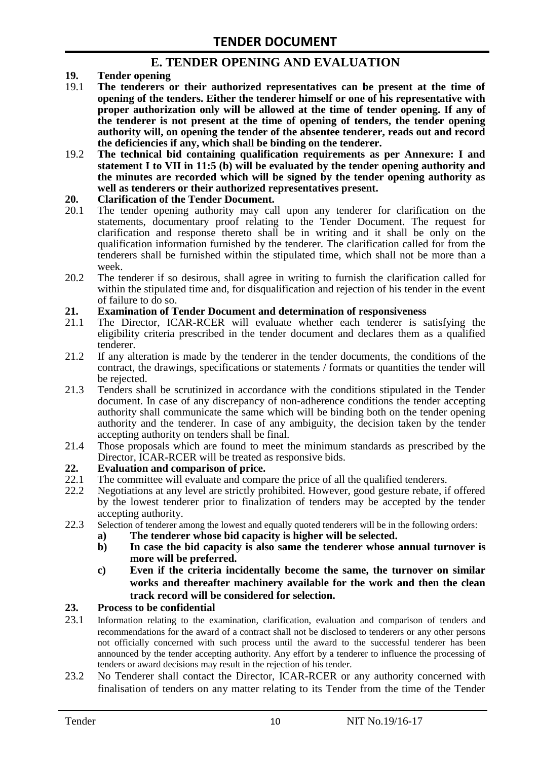## **E. TENDER OPENING AND EVALUATION**

- **19. Tender opening**
- 19.1 **The tenderers or their authorized representatives can be present at the time of opening of the tenders. Either the tenderer himself or one of his representative with proper authorization only will be allowed at the time of tender opening. If any of the tenderer is not present at the time of opening of tenders, the tender opening authority will, on opening the tender of the absentee tenderer, reads out and record the deficiencies if any, which shall be binding on the tenderer.**
- 19.2 **The technical bid containing qualification requirements as per Annexure: I and statement I to VII in 11:5 (b) will be evaluated by the tender opening authority and the minutes are recorded which will be signed by the tender opening authority as well as tenderers or their authorized representatives present.**

#### **20. Clarification of the Tender Document.**

- 20.1 The tender opening authority may call upon any tenderer for clarification on the statements, documentary proof relating to the Tender Document. The request for clarification and response thereto shall be in writing and it shall be only on the qualification information furnished by the tenderer. The clarification called for from the tenderers shall be furnished within the stipulated time, which shall not be more than a week.
- 20.2 The tenderer if so desirous, shall agree in writing to furnish the clarification called for within the stipulated time and, for disqualification and rejection of his tender in the event of failure to do so.

# **21. Examination of Tender Document and determination of responsiveness**

- 21.1 The Director, ICAR-RCER will evaluate whether each tenderer is satisfying the eligibility criteria prescribed in the tender document and declares them as a qualified tenderer.
- 21.2 If any alteration is made by the tenderer in the tender documents, the conditions of the contract, the drawings, specifications or statements / formats or quantities the tender will be rejected.
- 21.3 Tenders shall be scrutinized in accordance with the conditions stipulated in the Tender document. In case of any discrepancy of non-adherence conditions the tender accepting authority shall communicate the same which will be binding both on the tender opening authority and the tenderer. In case of any ambiguity, the decision taken by the tender accepting authority on tenders shall be final.
- 21.4 Those proposals which are found to meet the minimum standards as prescribed by the Director, ICAR-RCER will be treated as responsive bids.

# **22. Evaluation and comparison of price.**

- The committee will evaluate and compare the price of all the qualified tenderers.
- 22.2 Negotiations at any level are strictly prohibited. However, good gesture rebate, if offered by the lowest tenderer prior to finalization of tenders may be accepted by the tender accepting authority.
- 22.3 Selection of tenderer among the lowest and equally quoted tenderers will be in the following orders:
	- **a) The tenderer whose bid capacity is higher will be selected.**
	- **b) In case the bid capacity is also same the tenderer whose annual turnover is more will be preferred.**
	- **c) Even if the criteria incidentally become the same, the turnover on similar works and thereafter machinery available for the work and then the clean track record will be considered for selection.**

#### **23. Process to be confidential**

- 23.1 Information relating to the examination, clarification, evaluation and comparison of tenders and recommendations for the award of a contract shall not be disclosed to tenderers or any other persons not officially concerned with such process until the award to the successful tenderer has been announced by the tender accepting authority. Any effort by a tenderer to influence the processing of tenders or award decisions may result in the rejection of his tender.
- 23.2 No Tenderer shall contact the Director, ICAR-RCER or any authority concerned with finalisation of tenders on any matter relating to its Tender from the time of the Tender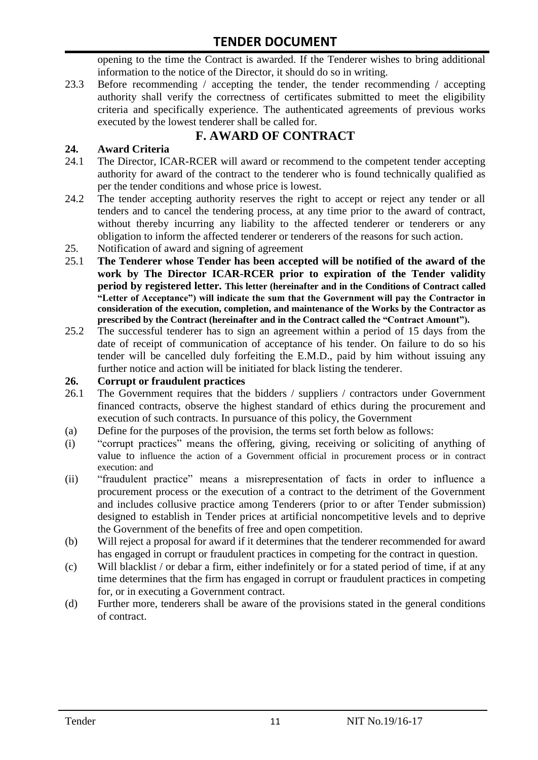opening to the time the Contract is awarded. If the Tenderer wishes to bring additional information to the notice of the Director, it should do so in writing.

23.3 Before recommending / accepting the tender, the tender recommending / accepting authority shall verify the correctness of certificates submitted to meet the eligibility criteria and specifically experience. The authenticated agreements of previous works executed by the lowest tenderer shall be called for.

# **F. AWARD OF CONTRACT**

#### **24. Award Criteria**

- 24.1 The Director, ICAR-RCER will award or recommend to the competent tender accepting authority for award of the contract to the tenderer who is found technically qualified as per the tender conditions and whose price is lowest.
- 24.2 The tender accepting authority reserves the right to accept or reject any tender or all tenders and to cancel the tendering process, at any time prior to the award of contract, without thereby incurring any liability to the affected tenderer or tenderers or any obligation to inform the affected tenderer or tenderers of the reasons for such action.
- 25. Notification of award and signing of agreement
- 25.1 **The Tenderer whose Tender has been accepted will be notified of the award of the work by The Director ICAR-RCER prior to expiration of the Tender validity period by registered letter. This letter (hereinafter and in the Conditions of Contract called "Letter of Acceptance") will indicate the sum that the Government will pay the Contractor in consideration of the execution, completion, and maintenance of the Works by the Contractor as prescribed by the Contract (hereinafter and in the Contract called the "Contract Amount").**
- 25.2 The successful tenderer has to sign an agreement within a period of 15 days from the date of receipt of communication of acceptance of his tender. On failure to do so his tender will be cancelled duly forfeiting the E.M.D., paid by him without issuing any further notice and action will be initiated for black listing the tenderer.

#### **26. Corrupt or fraudulent practices**

- 26.1 The Government requires that the bidders / suppliers / contractors under Government financed contracts, observe the highest standard of ethics during the procurement and execution of such contracts. In pursuance of this policy, the Government
- (a) Define for the purposes of the provision, the terms set forth below as follows:
- (i) "corrupt practices" means the offering, giving, receiving or soliciting of anything of value to influence the action of a Government official in procurement process or in contract execution: and
- (ii) "fraudulent practice" means a misrepresentation of facts in order to influence a procurement process or the execution of a contract to the detriment of the Government and includes collusive practice among Tenderers (prior to or after Tender submission) designed to establish in Tender prices at artificial noncompetitive levels and to deprive the Government of the benefits of free and open competition.
- (b) Will reject a proposal for award if it determines that the tenderer recommended for award has engaged in corrupt or fraudulent practices in competing for the contract in question.
- (c) Will blacklist / or debar a firm, either indefinitely or for a stated period of time, if at any time determines that the firm has engaged in corrupt or fraudulent practices in competing for, or in executing a Government contract.
- (d) Further more, tenderers shall be aware of the provisions stated in the general conditions of contract.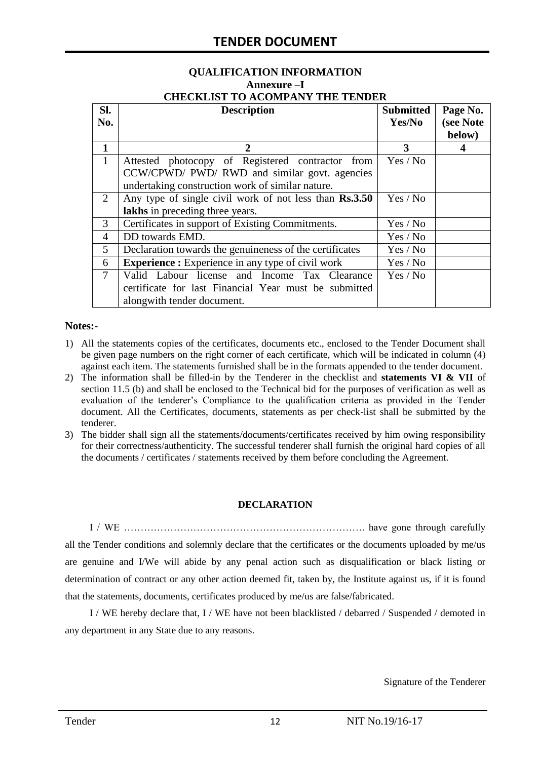# **QUALIFICATION INFORMATION Annexure –I**

| <b>CHECKLIST TO ACOMPANY THE TENDER</b> |  |
|-----------------------------------------|--|
|                                         |  |

| SI.<br>No.     | <b>Description</b>                                                                                                                   | <b>Submitted</b><br>Yes/No | Page No.<br>(see Note<br>below) |
|----------------|--------------------------------------------------------------------------------------------------------------------------------------|----------------------------|---------------------------------|
| $\mathbf{1}$   | 2                                                                                                                                    | 3                          |                                 |
| $\mathbf{1}$   | Attested photocopy of Registered contractor from<br>CCW/CPWD/ PWD/ RWD and similar govt. agencies                                    | Yes / No                   |                                 |
|                | undertaking construction work of similar nature.                                                                                     |                            |                                 |
| 2              | Any type of single civil work of not less than Rs.3.50<br>lakhs in preceding three years.                                            | Yes / No                   |                                 |
| 3              | Certificates in support of Existing Commitments.                                                                                     | Yes / No                   |                                 |
| $\overline{4}$ | DD towards EMD.                                                                                                                      | Yes / No                   |                                 |
| 5              | Declaration towards the genuineness of the certificates                                                                              | Yes / No                   |                                 |
| 6              | <b>Experience :</b> Experience in any type of civil work                                                                             | Yes / No                   |                                 |
| $\tau$         | Valid Labour license and Income Tax Clearance<br>certificate for last Financial Year must be submitted<br>alongwith tender document. | Yes / No                   |                                 |

#### **Notes:-**

- 1) All the statements copies of the certificates, documents etc., enclosed to the Tender Document shall be given page numbers on the right corner of each certificate, which will be indicated in column (4) against each item. The statements furnished shall be in the formats appended to the tender document.
- 2) The information shall be filled-in by the Tenderer in the checklist and **statements VI & VII** of section 11.5 (b) and shall be enclosed to the Technical bid for the purposes of verification as well as evaluation of the tenderer"s Compliance to the qualification criteria as provided in the Tender document. All the Certificates, documents, statements as per check-list shall be submitted by the tenderer.
- 3) The bidder shall sign all the statements/documents/certificates received by him owing responsibility for their correctness/authenticity. The successful tenderer shall furnish the original hard copies of all the documents / certificates / statements received by them before concluding the Agreement.

#### **DECLARATION**

I / WE ………………………………………………………………. have gone through carefully all the Tender conditions and solemnly declare that the certificates or the documents uploaded by me/us are genuine and I/We will abide by any penal action such as disqualification or black listing or determination of contract or any other action deemed fit, taken by, the Institute against us, if it is found that the statements, documents, certificates produced by me/us are false/fabricated.

I / WE hereby declare that, I / WE have not been blacklisted / debarred / Suspended / demoted in any department in any State due to any reasons.

Signature of the Tenderer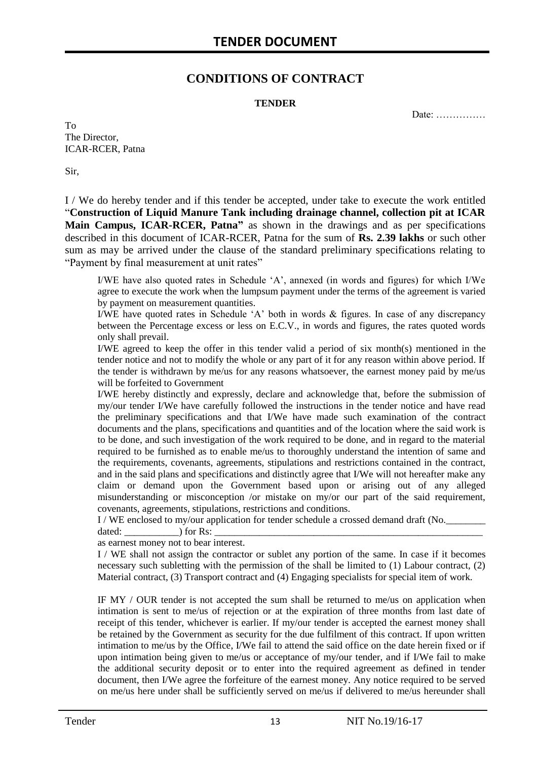### **CONDITIONS OF CONTRACT**

#### **TENDER**

Date: ……………

To The Director, ICAR-RCER, Patna

Sir,

I / We do hereby tender and if this tender be accepted, under take to execute the work entitled "**Construction of Liquid Manure Tank including drainage channel, collection pit at ICAR Main Campus, ICAR-RCER, Patna"** as shown in the drawings and as per specifications described in this document of ICAR-RCER, Patna for the sum of **Rs. 2.39 lakhs** or such other sum as may be arrived under the clause of the standard preliminary specifications relating to "Payment by final measurement at unit rates"

I/WE have also quoted rates in Schedule "A", annexed (in words and figures) for which I/We agree to execute the work when the lumpsum payment under the terms of the agreement is varied by payment on measurement quantities.

I/WE have quoted rates in Schedule "A" both in words & figures. In case of any discrepancy between the Percentage excess or less on E.C.V., in words and figures, the rates quoted words only shall prevail.

I/WE agreed to keep the offer in this tender valid a period of six month(s) mentioned in the tender notice and not to modify the whole or any part of it for any reason within above period. If the tender is withdrawn by me/us for any reasons whatsoever, the earnest money paid by me/us will be forfeited to Government

I/WE hereby distinctly and expressly, declare and acknowledge that, before the submission of my/our tender I/We have carefully followed the instructions in the tender notice and have read the preliminary specifications and that I/We have made such examination of the contract documents and the plans, specifications and quantities and of the location where the said work is to be done, and such investigation of the work required to be done, and in regard to the material required to be furnished as to enable me/us to thoroughly understand the intention of same and the requirements, covenants, agreements, stipulations and restrictions contained in the contract, and in the said plans and specifications and distinctly agree that I/We will not hereafter make any claim or demand upon the Government based upon or arising out of any alleged misunderstanding or misconception /or mistake on my/or our part of the said requirement, covenants, agreements, stipulations, restrictions and conditions.

I / WE enclosed to my/our application for tender schedule a crossed demand draft (No.

dated:  $\qquad \qquad$  ) for Rs:

as earnest money not to bear interest.

I / WE shall not assign the contractor or sublet any portion of the same. In case if it becomes necessary such subletting with the permission of the shall be limited to (1) Labour contract, (2) Material contract, (3) Transport contract and (4) Engaging specialists for special item of work.

IF MY / OUR tender is not accepted the sum shall be returned to me/us on application when intimation is sent to me/us of rejection or at the expiration of three months from last date of receipt of this tender, whichever is earlier. If my/our tender is accepted the earnest money shall be retained by the Government as security for the due fulfilment of this contract. If upon written intimation to me/us by the Office, I/We fail to attend the said office on the date herein fixed or if upon intimation being given to me/us or acceptance of my/our tender, and if I/We fail to make the additional security deposit or to enter into the required agreement as defined in tender document, then I/We agree the forfeiture of the earnest money. Any notice required to be served on me/us here under shall be sufficiently served on me/us if delivered to me/us hereunder shall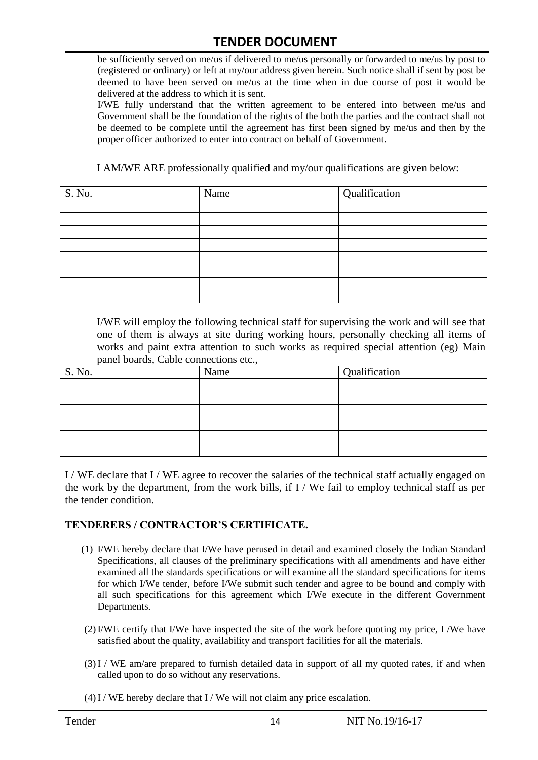be sufficiently served on me/us if delivered to me/us personally or forwarded to me/us by post to (registered or ordinary) or left at my/our address given herein. Such notice shall if sent by post be deemed to have been served on me/us at the time when in due course of post it would be delivered at the address to which it is sent.

I/WE fully understand that the written agreement to be entered into between me/us and Government shall be the foundation of the rights of the both the parties and the contract shall not be deemed to be complete until the agreement has first been signed by me/us and then by the proper officer authorized to enter into contract on behalf of Government.

I AM/WE ARE professionally qualified and my/our qualifications are given below:

| S. No. | Name | Qualification |
|--------|------|---------------|
|        |      |               |
|        |      |               |
|        |      |               |
|        |      |               |
|        |      |               |
|        |      |               |
|        |      |               |
|        |      |               |

I/WE will employ the following technical staff for supervising the work and will see that one of them is always at site during working hours, personally checking all items of works and paint extra attention to such works as required special attention (eg) Main panel boards, Cable connections etc.,

| S. No. | Name | Qualification |
|--------|------|---------------|
|        |      |               |
|        |      |               |
|        |      |               |
|        |      |               |
|        |      |               |
|        |      |               |

I / WE declare that I / WE agree to recover the salaries of the technical staff actually engaged on the work by the department, from the work bills, if I / We fail to employ technical staff as per the tender condition.

#### **TENDERERS / CONTRACTOR'S CERTIFICATE.**

- (1) I/WE hereby declare that I/We have perused in detail and examined closely the Indian Standard Specifications, all clauses of the preliminary specifications with all amendments and have either examined all the standards specifications or will examine all the standard specifications for items for which I/We tender, before I/We submit such tender and agree to be bound and comply with all such specifications for this agreement which I/We execute in the different Government Departments.
- (2)I/WE certify that I/We have inspected the site of the work before quoting my price, I /We have satisfied about the quality, availability and transport facilities for all the materials.
- (3)I / WE am/are prepared to furnish detailed data in support of all my quoted rates, if and when called upon to do so without any reservations.
- $(4)$  I / WE hereby declare that I / We will not claim any price escalation.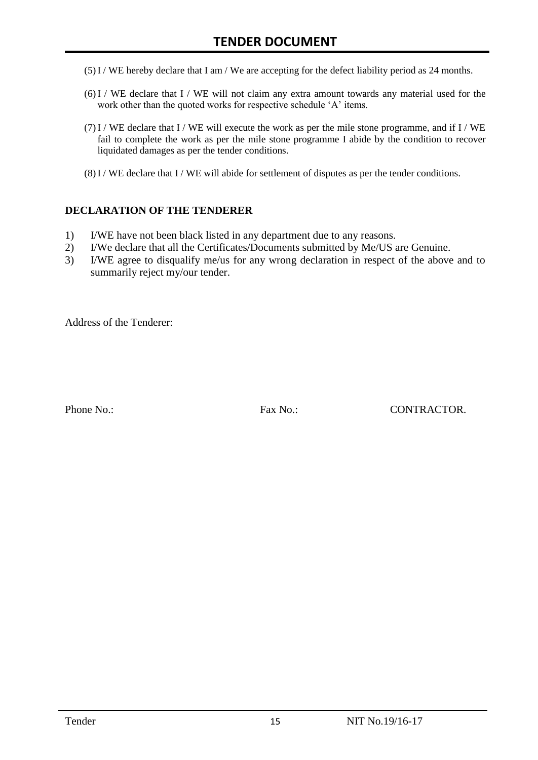- (5)I / WE hereby declare that I am / We are accepting for the defect liability period as 24 months.
- (6)I / WE declare that I / WE will not claim any extra amount towards any material used for the work other than the quoted works for respective schedule 'A' items.
- $(7)$ I / WE declare that I / WE will execute the work as per the mile stone programme, and if I / WE fail to complete the work as per the mile stone programme I abide by the condition to recover liquidated damages as per the tender conditions.
- $(8)$ I / WE declare that I / WE will abide for settlement of disputes as per the tender conditions.

#### **DECLARATION OF THE TENDERER**

- 1) I/WE have not been black listed in any department due to any reasons.
- 2) I/We declare that all the Certificates/Documents submitted by Me/US are Genuine.
- 3) I/WE agree to disqualify me/us for any wrong declaration in respect of the above and to summarily reject my/our tender.

Address of the Tenderer:

Phone No.: Fax No.: CONTRACTOR.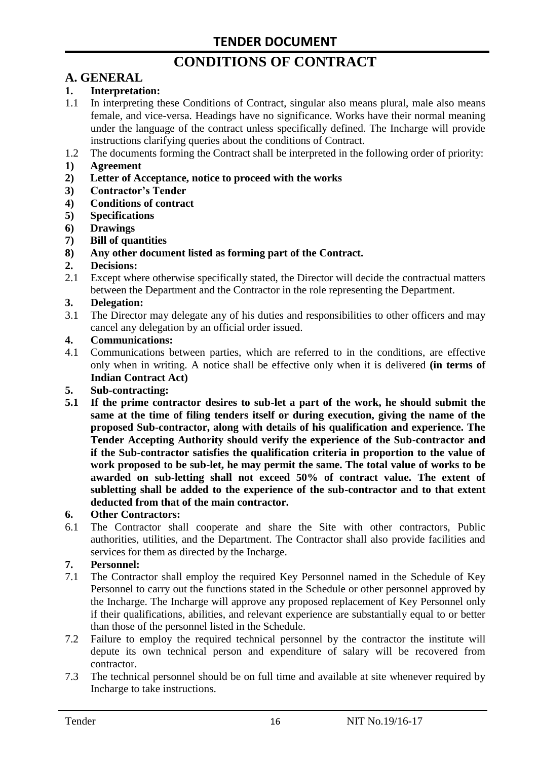# **CONDITIONS OF CONTRACT**

# **A. GENERAL**

#### **1. Interpretation:**

- 1.1 In interpreting these Conditions of Contract, singular also means plural, male also means female, and vice-versa. Headings have no significance. Works have their normal meaning under the language of the contract unless specifically defined. The Incharge will provide instructions clarifying queries about the conditions of Contract.
- 1.2 The documents forming the Contract shall be interpreted in the following order of priority:
- **1) Agreement**
- **2) Letter of Acceptance, notice to proceed with the works**
- **3) Contractor's Tender**
- **4) Conditions of contract**
- **5) Specifications**
- **6) Drawings**
- **7) Bill of quantities**
- **8) Any other document listed as forming part of the Contract.**

#### **2. Decisions:**

2.1 Except where otherwise specifically stated, the Director will decide the contractual matters between the Department and the Contractor in the role representing the Department.

#### **3. Delegation:**

3.1 The Director may delegate any of his duties and responsibilities to other officers and may cancel any delegation by an official order issued.

#### **4. Communications:**

4.1 Communications between parties, which are referred to in the conditions, are effective only when in writing. A notice shall be effective only when it is delivered **(in terms of Indian Contract Act)**

#### **5. Sub-contracting:**

**5.1 If the prime contractor desires to sub-let a part of the work, he should submit the same at the time of filing tenders itself or during execution, giving the name of the proposed Sub-contractor, along with details of his qualification and experience. The Tender Accepting Authority should verify the experience of the Sub-contractor and if the Sub-contractor satisfies the qualification criteria in proportion to the value of work proposed to be sub-let, he may permit the same. The total value of works to be awarded on sub-letting shall not exceed 50% of contract value. The extent of subletting shall be added to the experience of the sub-contractor and to that extent deducted from that of the main contractor.**

#### **6. Other Contractors:**

6.1 The Contractor shall cooperate and share the Site with other contractors, Public authorities, utilities, and the Department. The Contractor shall also provide facilities and services for them as directed by the Incharge.

#### **7. Personnel:**

- 7.1 The Contractor shall employ the required Key Personnel named in the Schedule of Key Personnel to carry out the functions stated in the Schedule or other personnel approved by the Incharge. The Incharge will approve any proposed replacement of Key Personnel only if their qualifications, abilities, and relevant experience are substantially equal to or better than those of the personnel listed in the Schedule.
- 7.2 Failure to employ the required technical personnel by the contractor the institute will depute its own technical person and expenditure of salary will be recovered from contractor.
- 7.3 The technical personnel should be on full time and available at site whenever required by Incharge to take instructions.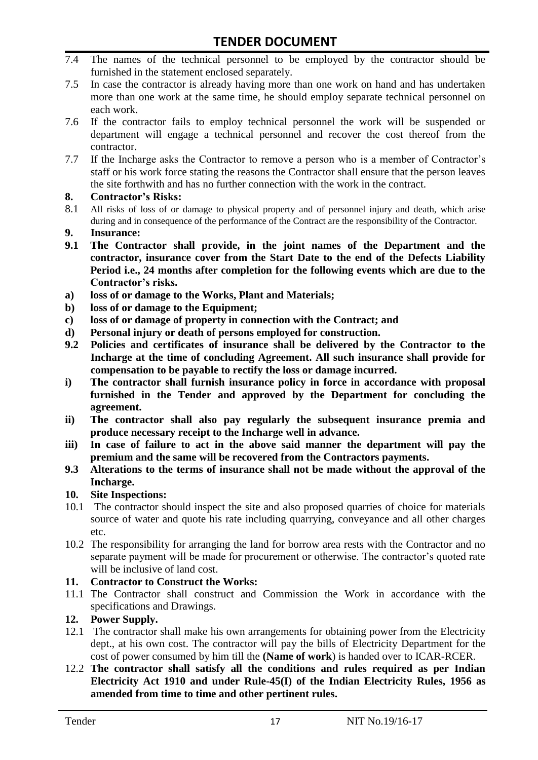- 7.4 The names of the technical personnel to be employed by the contractor should be furnished in the statement enclosed separately.
- 7.5 In case the contractor is already having more than one work on hand and has undertaken more than one work at the same time, he should employ separate technical personnel on each work.
- 7.6 If the contractor fails to employ technical personnel the work will be suspended or department will engage a technical personnel and recover the cost thereof from the contractor.
- 7.7 If the Incharge asks the Contractor to remove a person who is a member of Contractor"s staff or his work force stating the reasons the Contractor shall ensure that the person leaves the site forthwith and has no further connection with the work in the contract.

#### **8. Contractor's Risks:**

- 8.1 All risks of loss of or damage to physical property and of personnel injury and death, which arise during and in consequence of the performance of the Contract are the responsibility of the Contractor.
- **9. Insurance:**
- **9.1 The Contractor shall provide, in the joint names of the Department and the contractor, insurance cover from the Start Date to the end of the Defects Liability Period i.e., 24 months after completion for the following events which are due to the Contractor's risks.**
- **a) loss of or damage to the Works, Plant and Materials;**
- **b) loss of or damage to the Equipment;**
- **c) loss of or damage of property in connection with the Contract; and**
- **d) Personal injury or death of persons employed for construction.**
- **9.2 Policies and certificates of insurance shall be delivered by the Contractor to the Incharge at the time of concluding Agreement. All such insurance shall provide for compensation to be payable to rectify the loss or damage incurred.**
- **i) The contractor shall furnish insurance policy in force in accordance with proposal furnished in the Tender and approved by the Department for concluding the agreement.**
- **ii) The contractor shall also pay regularly the subsequent insurance premia and produce necessary receipt to the Incharge well in advance.**
- **iii) In case of failure to act in the above said manner the department will pay the premium and the same will be recovered from the Contractors payments.**
- **9.3 Alterations to the terms of insurance shall not be made without the approval of the Incharge.**

#### **10. Site Inspections:**

- 10.1 The contractor should inspect the site and also proposed quarries of choice for materials source of water and quote his rate including quarrying, conveyance and all other charges etc.
- 10.2 The responsibility for arranging the land for borrow area rests with the Contractor and no separate payment will be made for procurement or otherwise. The contractor's quoted rate will be inclusive of land cost.

#### **11. Contractor to Construct the Works:**

11.1 The Contractor shall construct and Commission the Work in accordance with the specifications and Drawings.

#### **12. Power Supply.**

- 12.1 The contractor shall make his own arrangements for obtaining power from the Electricity dept., at his own cost. The contractor will pay the bills of Electricity Department for the cost of power consumed by him till the **(Name of work**) is handed over to ICAR-RCER.
- 12.2 **The contractor shall satisfy all the conditions and rules required as per Indian Electricity Act 1910 and under Rule-45(I) of the Indian Electricity Rules, 1956 as amended from time to time and other pertinent rules.**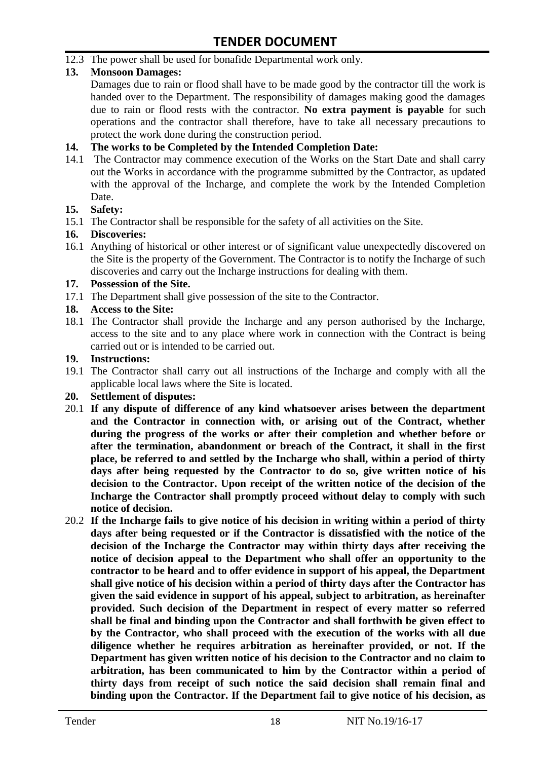12.3 The power shall be used for bonafide Departmental work only.

#### **13. Monsoon Damages:**

Damages due to rain or flood shall have to be made good by the contractor till the work is handed over to the Department. The responsibility of damages making good the damages due to rain or flood rests with the contractor. **No extra payment is payable** for such operations and the contractor shall therefore, have to take all necessary precautions to protect the work done during the construction period.

#### **14. The works to be Completed by the Intended Completion Date:**

14.1 The Contractor may commence execution of the Works on the Start Date and shall carry out the Works in accordance with the programme submitted by the Contractor, as updated with the approval of the Incharge, and complete the work by the Intended Completion Date.

#### **15. Safety:**

15.1 The Contractor shall be responsible for the safety of all activities on the Site.

#### **16. Discoveries:**

16.1 Anything of historical or other interest or of significant value unexpectedly discovered on the Site is the property of the Government. The Contractor is to notify the Incharge of such discoveries and carry out the Incharge instructions for dealing with them.

#### **17. Possession of the Site.**

17.1 The Department shall give possession of the site to the Contractor.

#### **18. Access to the Site:**

18.1 The Contractor shall provide the Incharge and any person authorised by the Incharge, access to the site and to any place where work in connection with the Contract is being carried out or is intended to be carried out.

#### **19. Instructions:**

- 19.1 The Contractor shall carry out all instructions of the Incharge and comply with all the applicable local laws where the Site is located.
- **20. Settlement of disputes:**
- 20.1 **If any dispute of difference of any kind whatsoever arises between the department and the Contractor in connection with, or arising out of the Contract, whether during the progress of the works or after their completion and whether before or after the termination, abandonment or breach of the Contract, it shall in the first place, be referred to and settled by the Incharge who shall, within a period of thirty days after being requested by the Contractor to do so, give written notice of his decision to the Contractor. Upon receipt of the written notice of the decision of the Incharge the Contractor shall promptly proceed without delay to comply with such notice of decision.**
- 20.2 **If the Incharge fails to give notice of his decision in writing within a period of thirty days after being requested or if the Contractor is dissatisfied with the notice of the decision of the Incharge the Contractor may within thirty days after receiving the notice of decision appeal to the Department who shall offer an opportunity to the contractor to be heard and to offer evidence in support of his appeal, the Department shall give notice of his decision within a period of thirty days after the Contractor has given the said evidence in support of his appeal, subject to arbitration, as hereinafter provided. Such decision of the Department in respect of every matter so referred shall be final and binding upon the Contractor and shall forthwith be given effect to by the Contractor, who shall proceed with the execution of the works with all due diligence whether he requires arbitration as hereinafter provided, or not. If the Department has given written notice of his decision to the Contractor and no claim to arbitration, has been communicated to him by the Contractor within a period of thirty days from receipt of such notice the said decision shall remain final and binding upon the Contractor. If the Department fail to give notice of his decision, as**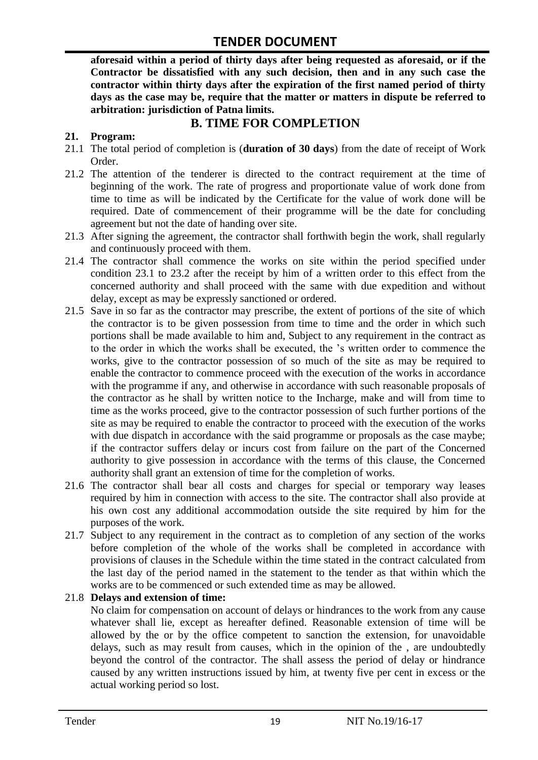**aforesaid within a period of thirty days after being requested as aforesaid, or if the Contractor be dissatisfied with any such decision, then and in any such case the contractor within thirty days after the expiration of the first named period of thirty days as the case may be, require that the matter or matters in dispute be referred to arbitration: jurisdiction of Patna limits.**

## **B. TIME FOR COMPLETION**

#### **21. Program:**

- 21.1 The total period of completion is (**duration of 30 days**) from the date of receipt of Work Order.
- 21.2 The attention of the tenderer is directed to the contract requirement at the time of beginning of the work. The rate of progress and proportionate value of work done from time to time as will be indicated by the Certificate for the value of work done will be required. Date of commencement of their programme will be the date for concluding agreement but not the date of handing over site.
- 21.3 After signing the agreement, the contractor shall forthwith begin the work, shall regularly and continuously proceed with them.
- 21.4 The contractor shall commence the works on site within the period specified under condition 23.1 to 23.2 after the receipt by him of a written order to this effect from the concerned authority and shall proceed with the same with due expedition and without delay, except as may be expressly sanctioned or ordered.
- 21.5 Save in so far as the contractor may prescribe, the extent of portions of the site of which the contractor is to be given possession from time to time and the order in which such portions shall be made available to him and, Subject to any requirement in the contract as to the order in which the works shall be executed, the "s written order to commence the works, give to the contractor possession of so much of the site as may be required to enable the contractor to commence proceed with the execution of the works in accordance with the programme if any, and otherwise in accordance with such reasonable proposals of the contractor as he shall by written notice to the Incharge, make and will from time to time as the works proceed, give to the contractor possession of such further portions of the site as may be required to enable the contractor to proceed with the execution of the works with due dispatch in accordance with the said programme or proposals as the case maybe; if the contractor suffers delay or incurs cost from failure on the part of the Concerned authority to give possession in accordance with the terms of this clause, the Concerned authority shall grant an extension of time for the completion of works.
- 21.6 The contractor shall bear all costs and charges for special or temporary way leases required by him in connection with access to the site. The contractor shall also provide at his own cost any additional accommodation outside the site required by him for the purposes of the work.
- 21.7 Subject to any requirement in the contract as to completion of any section of the works before completion of the whole of the works shall be completed in accordance with provisions of clauses in the Schedule within the time stated in the contract calculated from the last day of the period named in the statement to the tender as that within which the works are to be commenced or such extended time as may be allowed.

#### 21.8 **Delays and extension of time:**

No claim for compensation on account of delays or hindrances to the work from any cause whatever shall lie, except as hereafter defined. Reasonable extension of time will be allowed by the or by the office competent to sanction the extension, for unavoidable delays, such as may result from causes, which in the opinion of the , are undoubtedly beyond the control of the contractor. The shall assess the period of delay or hindrance caused by any written instructions issued by him, at twenty five per cent in excess or the actual working period so lost.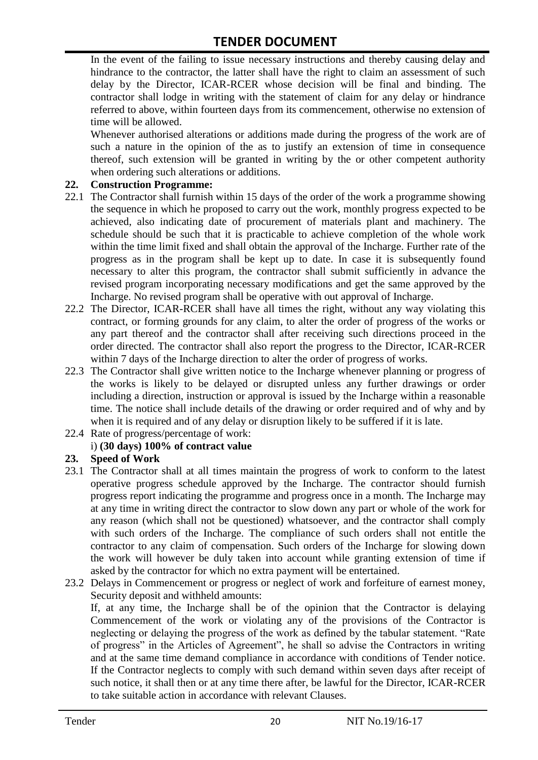In the event of the failing to issue necessary instructions and thereby causing delay and hindrance to the contractor, the latter shall have the right to claim an assessment of such delay by the Director, ICAR-RCER whose decision will be final and binding. The contractor shall lodge in writing with the statement of claim for any delay or hindrance referred to above, within fourteen days from its commencement, otherwise no extension of time will be allowed.

Whenever authorised alterations or additions made during the progress of the work are of such a nature in the opinion of the as to justify an extension of time in consequence thereof, such extension will be granted in writing by the or other competent authority when ordering such alterations or additions.

#### **22. Construction Programme:**

- 22.1 The Contractor shall furnish within 15 days of the order of the work a programme showing the sequence in which he proposed to carry out the work, monthly progress expected to be achieved, also indicating date of procurement of materials plant and machinery. The schedule should be such that it is practicable to achieve completion of the whole work within the time limit fixed and shall obtain the approval of the Incharge. Further rate of the progress as in the program shall be kept up to date. In case it is subsequently found necessary to alter this program, the contractor shall submit sufficiently in advance the revised program incorporating necessary modifications and get the same approved by the Incharge. No revised program shall be operative with out approval of Incharge.
- 22.2 The Director, ICAR-RCER shall have all times the right, without any way violating this contract, or forming grounds for any claim, to alter the order of progress of the works or any part thereof and the contractor shall after receiving such directions proceed in the order directed. The contractor shall also report the progress to the Director, ICAR-RCER within 7 days of the Incharge direction to alter the order of progress of works.
- 22.3 The Contractor shall give written notice to the Incharge whenever planning or progress of the works is likely to be delayed or disrupted unless any further drawings or order including a direction, instruction or approval is issued by the Incharge within a reasonable time. The notice shall include details of the drawing or order required and of why and by when it is required and of any delay or disruption likely to be suffered if it is late.
- 22.4 Rate of progress/percentage of work:

#### i) **(30 days) 100% of contract value**

#### **23. Speed of Work**

- 23.1 The Contractor shall at all times maintain the progress of work to conform to the latest operative progress schedule approved by the Incharge. The contractor should furnish progress report indicating the programme and progress once in a month. The Incharge may at any time in writing direct the contractor to slow down any part or whole of the work for any reason (which shall not be questioned) whatsoever, and the contractor shall comply with such orders of the Incharge. The compliance of such orders shall not entitle the contractor to any claim of compensation. Such orders of the Incharge for slowing down the work will however be duly taken into account while granting extension of time if asked by the contractor for which no extra payment will be entertained.
- 23.2 Delays in Commencement or progress or neglect of work and forfeiture of earnest money, Security deposit and withheld amounts:

If, at any time, the Incharge shall be of the opinion that the Contractor is delaying Commencement of the work or violating any of the provisions of the Contractor is neglecting or delaying the progress of the work as defined by the tabular statement. "Rate of progress" in the Articles of Agreement", he shall so advise the Contractors in writing and at the same time demand compliance in accordance with conditions of Tender notice. If the Contractor neglects to comply with such demand within seven days after receipt of such notice, it shall then or at any time there after, be lawful for the Director, ICAR-RCER to take suitable action in accordance with relevant Clauses.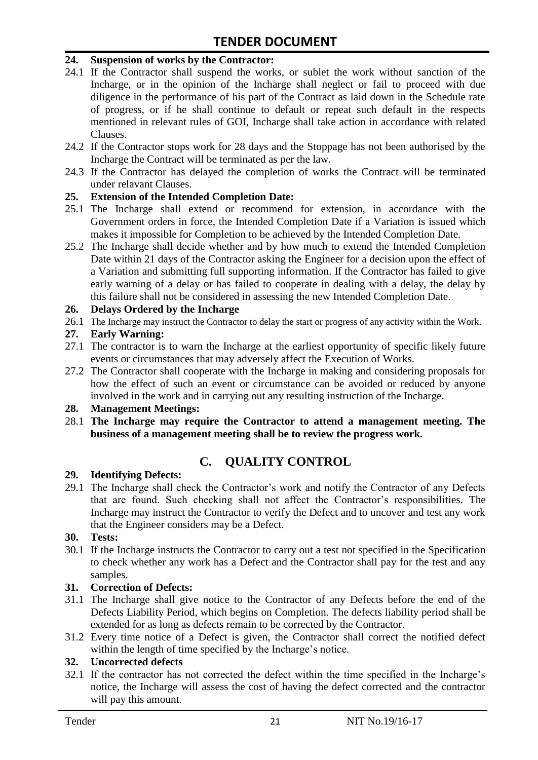#### **24. Suspension of works by the Contractor:**

- 24.1 If the Contractor shall suspend the works, or sublet the work without sanction of the Incharge, or in the opinion of the Incharge shall neglect or fail to proceed with due diligence in the performance of his part of the Contract as laid down in the Schedule rate of progress, or if he shall continue to default or repeat such default in the respects mentioned in relevant rules of GOI, Incharge shall take action in accordance with related Clauses.
- 24.2 If the Contractor stops work for 28 days and the Stoppage has not been authorised by the Incharge the Contract will be terminated as per the law.
- 24.3 If the Contractor has delayed the completion of works the Contract will be terminated under relavant Clauses.

#### **25. Extension of the Intended Completion Date:**

- 25.1 The Incharge shall extend or recommend for extension, in accordance with the Government orders in force, the Intended Completion Date if a Variation is issued which makes it impossible for Completion to be achieved by the Intended Completion Date.
- 25.2 The Incharge shall decide whether and by how much to extend the Intended Completion Date within 21 days of the Contractor asking the Engineer for a decision upon the effect of a Variation and submitting full supporting information. If the Contractor has failed to give early warning of a delay or has failed to cooperate in dealing with a delay, the delay by this failure shall not be considered in assessing the new Intended Completion Date.

#### **26. Delays Ordered by the Incharge**

26.1 The Incharge may instruct the Contractor to delay the start or progress of any activity within the Work.

#### **27. Early Warning:**

- 27.1 The contractor is to warn the Incharge at the earliest opportunity of specific likely future events or circumstances that may adversely affect the Execution of Works.
- 27.2 The Contractor shall cooperate with the Incharge in making and considering proposals for how the effect of such an event or circumstance can be avoided or reduced by anyone involved in the work and in carrying out any resulting instruction of the Incharge.

#### **28. Management Meetings:**

28.1 **The Incharge may require the Contractor to attend a management meeting. The business of a management meeting shall be to review the progress work.**

## **C. QUALITY CONTROL**

#### **29. Identifying Defects:**

29.1 The Incharge shall check the Contractor's work and notify the Contractor of any Defects that are found. Such checking shall not affect the Contractor"s responsibilities. The Incharge may instruct the Contractor to verify the Defect and to uncover and test any work that the Engineer considers may be a Defect.

#### **30. Tests:**

30.1 If the Incharge instructs the Contractor to carry out a test not specified in the Specification to check whether any work has a Defect and the Contractor shall pay for the test and any samples.

#### **31. Correction of Defects:**

- 31.1 The Incharge shall give notice to the Contractor of any Defects before the end of the Defects Liability Period, which begins on Completion. The defects liability period shall be extended for as long as defects remain to be corrected by the Contractor.
- 31.2 Every time notice of a Defect is given, the Contractor shall correct the notified defect within the length of time specified by the Incharge's notice.

#### **32. Uncorrected defects**

32.1 If the contractor has not corrected the defect within the time specified in the Incharge"s notice, the Incharge will assess the cost of having the defect corrected and the contractor will pay this amount.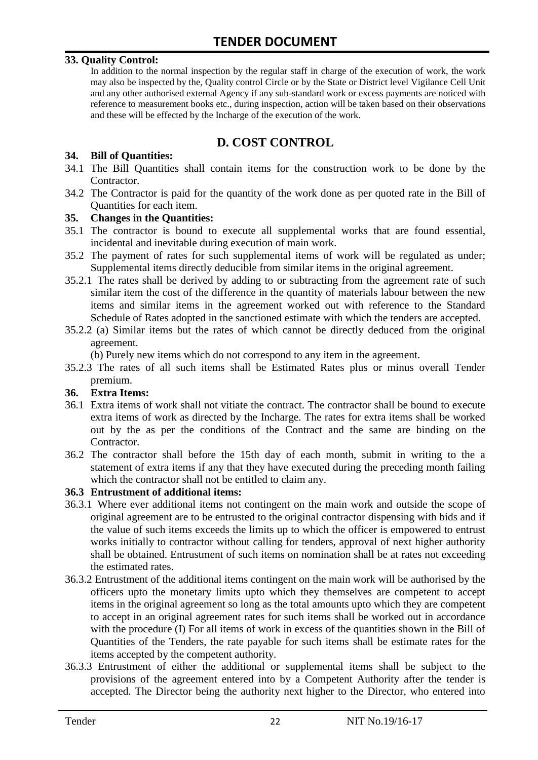#### **33. Quality Control:**

In addition to the normal inspection by the regular staff in charge of the execution of work, the work may also be inspected by the, Quality control Circle or by the State or District level Vigilance Cell Unit and any other authorised external Agency if any sub-standard work or excess payments are noticed with reference to measurement books etc., during inspection, action will be taken based on their observations and these will be effected by the Incharge of the execution of the work.

# **D. COST CONTROL**

#### **34. Bill of Quantities:**

- 34.1 The Bill Quantities shall contain items for the construction work to be done by the Contractor.
- 34.2 The Contractor is paid for the quantity of the work done as per quoted rate in the Bill of Quantities for each item.

#### **35. Changes in the Quantities:**

- 35.1 The contractor is bound to execute all supplemental works that are found essential, incidental and inevitable during execution of main work.
- 35.2 The payment of rates for such supplemental items of work will be regulated as under; Supplemental items directly deducible from similar items in the original agreement.
- 35.2.1 The rates shall be derived by adding to or subtracting from the agreement rate of such similar item the cost of the difference in the quantity of materials labour between the new items and similar items in the agreement worked out with reference to the Standard Schedule of Rates adopted in the sanctioned estimate with which the tenders are accepted.
- 35.2.2 (a) Similar items but the rates of which cannot be directly deduced from the original agreement.

(b) Purely new items which do not correspond to any item in the agreement.

35.2.3 The rates of all such items shall be Estimated Rates plus or minus overall Tender premium.

#### **36. Extra Items:**

- 36.1 Extra items of work shall not vitiate the contract. The contractor shall be bound to execute extra items of work as directed by the Incharge. The rates for extra items shall be worked out by the as per the conditions of the Contract and the same are binding on the Contractor.
- 36.2 The contractor shall before the 15th day of each month, submit in writing to the a statement of extra items if any that they have executed during the preceding month failing which the contractor shall not be entitled to claim any.

#### **36.3 Entrustment of additional items:**

- 36.3.1 Where ever additional items not contingent on the main work and outside the scope of original agreement are to be entrusted to the original contractor dispensing with bids and if the value of such items exceeds the limits up to which the officer is empowered to entrust works initially to contractor without calling for tenders, approval of next higher authority shall be obtained. Entrustment of such items on nomination shall be at rates not exceeding the estimated rates.
- 36.3.2 Entrustment of the additional items contingent on the main work will be authorised by the officers upto the monetary limits upto which they themselves are competent to accept items in the original agreement so long as the total amounts upto which they are competent to accept in an original agreement rates for such items shall be worked out in accordance with the procedure (I) For all items of work in excess of the quantities shown in the Bill of Quantities of the Tenders, the rate payable for such items shall be estimate rates for the items accepted by the competent authority.
- 36.3.3 Entrustment of either the additional or supplemental items shall be subject to the provisions of the agreement entered into by a Competent Authority after the tender is accepted. The Director being the authority next higher to the Director, who entered into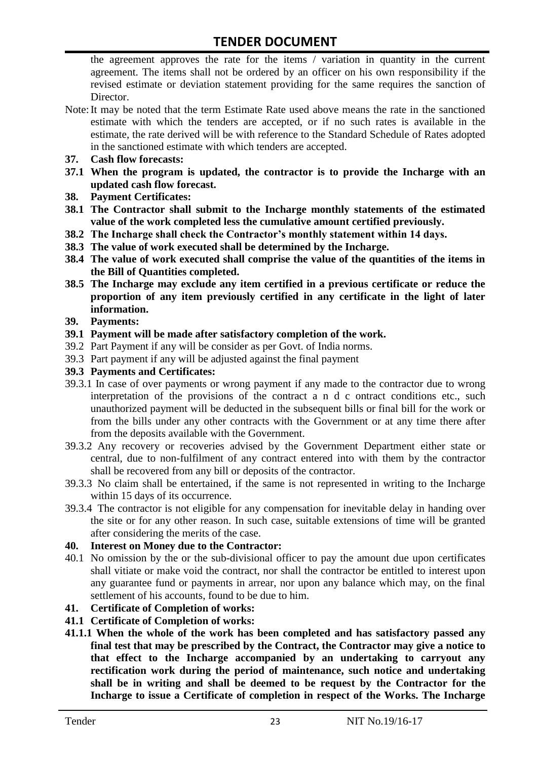the agreement approves the rate for the items / variation in quantity in the current agreement. The items shall not be ordered by an officer on his own responsibility if the revised estimate or deviation statement providing for the same requires the sanction of Director.

- Note:It may be noted that the term Estimate Rate used above means the rate in the sanctioned estimate with which the tenders are accepted, or if no such rates is available in the estimate, the rate derived will be with reference to the Standard Schedule of Rates adopted in the sanctioned estimate with which tenders are accepted.
- **37. Cash flow forecasts:**
- **37.1 When the program is updated, the contractor is to provide the Incharge with an updated cash flow forecast.**
- **38. Payment Certificates:**
- **38.1 The Contractor shall submit to the Incharge monthly statements of the estimated value of the work completed less the cumulative amount certified previously.**
- **38.2 The Incharge shall check the Contractor's monthly statement within 14 days.**
- **38.3 The value of work executed shall be determined by the Incharge.**
- **38.4 The value of work executed shall comprise the value of the quantities of the items in the Bill of Quantities completed.**
- **38.5 The Incharge may exclude any item certified in a previous certificate or reduce the proportion of any item previously certified in any certificate in the light of later information.**
- **39. Payments:**
- **39.1 Payment will be made after satisfactory completion of the work.**
- 39.2 Part Payment if any will be consider as per Govt. of India norms.
- 39.3 Part payment if any will be adjusted against the final payment
- **39.3 Payments and Certificates:**
- 39.3.1 In case of over payments or wrong payment if any made to the contractor due to wrong interpretation of the provisions of the contract a n d c ontract conditions etc., such unauthorized payment will be deducted in the subsequent bills or final bill for the work or from the bills under any other contracts with the Government or at any time there after from the deposits available with the Government.
- 39.3.2 Any recovery or recoveries advised by the Government Department either state or central, due to non-fulfilment of any contract entered into with them by the contractor shall be recovered from any bill or deposits of the contractor.
- 39.3.3 No claim shall be entertained, if the same is not represented in writing to the Incharge within 15 days of its occurrence.
- 39.3.4 The contractor is not eligible for any compensation for inevitable delay in handing over the site or for any other reason. In such case, suitable extensions of time will be granted after considering the merits of the case.

#### **40. Interest on Money due to the Contractor:**

- 40.1 No omission by the or the sub-divisional officer to pay the amount due upon certificates shall vitiate or make void the contract, nor shall the contractor be entitled to interest upon any guarantee fund or payments in arrear, nor upon any balance which may, on the final settlement of his accounts, found to be due to him.
- **41. Certificate of Completion of works:**
- **41.1 Certificate of Completion of works:**
- **41.1.1 When the whole of the work has been completed and has satisfactory passed any final test that may be prescribed by the Contract, the Contractor may give a notice to that effect to the Incharge accompanied by an undertaking to carryout any rectification work during the period of maintenance, such notice and undertaking shall be in writing and shall be deemed to be request by the Contractor for the Incharge to issue a Certificate of completion in respect of the Works. The Incharge**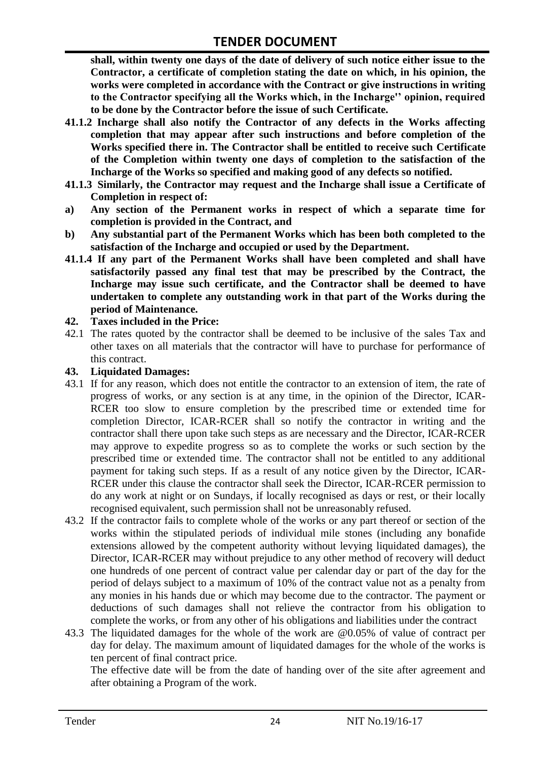**shall, within twenty one days of the date of delivery of such notice either issue to the Contractor, a certificate of completion stating the date on which, in his opinion, the works were completed in accordance with the Contract or give instructions in writing to the Contractor specifying all the Works which, in the Incharge'' opinion, required to be done by the Contractor before the issue of such Certificate.**

- **41.1.2 Incharge shall also notify the Contractor of any defects in the Works affecting completion that may appear after such instructions and before completion of the Works specified there in. The Contractor shall be entitled to receive such Certificate of the Completion within twenty one days of completion to the satisfaction of the Incharge of the Works so specified and making good of any defects so notified.**
- **41.1.3 Similarly, the Contractor may request and the Incharge shall issue a Certificate of Completion in respect of:**
- **a) Any section of the Permanent works in respect of which a separate time for completion is provided in the Contract, and**
- **b) Any substantial part of the Permanent Works which has been both completed to the satisfaction of the Incharge and occupied or used by the Department.**
- **41.1.4 If any part of the Permanent Works shall have been completed and shall have satisfactorily passed any final test that may be prescribed by the Contract, the Incharge may issue such certificate, and the Contractor shall be deemed to have undertaken to complete any outstanding work in that part of the Works during the period of Maintenance.**

#### **42. Taxes included in the Price:**

42.1 The rates quoted by the contractor shall be deemed to be inclusive of the sales Tax and other taxes on all materials that the contractor will have to purchase for performance of this contract.

#### **43. Liquidated Damages:**

- 43.1 If for any reason, which does not entitle the contractor to an extension of item, the rate of progress of works, or any section is at any time, in the opinion of the Director, ICAR-RCER too slow to ensure completion by the prescribed time or extended time for completion Director, ICAR-RCER shall so notify the contractor in writing and the contractor shall there upon take such steps as are necessary and the Director, ICAR-RCER may approve to expedite progress so as to complete the works or such section by the prescribed time or extended time. The contractor shall not be entitled to any additional payment for taking such steps. If as a result of any notice given by the Director, ICAR-RCER under this clause the contractor shall seek the Director, ICAR-RCER permission to do any work at night or on Sundays, if locally recognised as days or rest, or their locally recognised equivalent, such permission shall not be unreasonably refused.
- 43.2 If the contractor fails to complete whole of the works or any part thereof or section of the works within the stipulated periods of individual mile stones (including any bonafide extensions allowed by the competent authority without levying liquidated damages), the Director, ICAR-RCER may without prejudice to any other method of recovery will deduct one hundreds of one percent of contract value per calendar day or part of the day for the period of delays subject to a maximum of 10% of the contract value not as a penalty from any monies in his hands due or which may become due to the contractor. The payment or deductions of such damages shall not relieve the contractor from his obligation to complete the works, or from any other of his obligations and liabilities under the contract
- 43.3 The liquidated damages for the whole of the work are @0.05% of value of contract per day for delay. The maximum amount of liquidated damages for the whole of the works is ten percent of final contract price.

The effective date will be from the date of handing over of the site after agreement and after obtaining a Program of the work.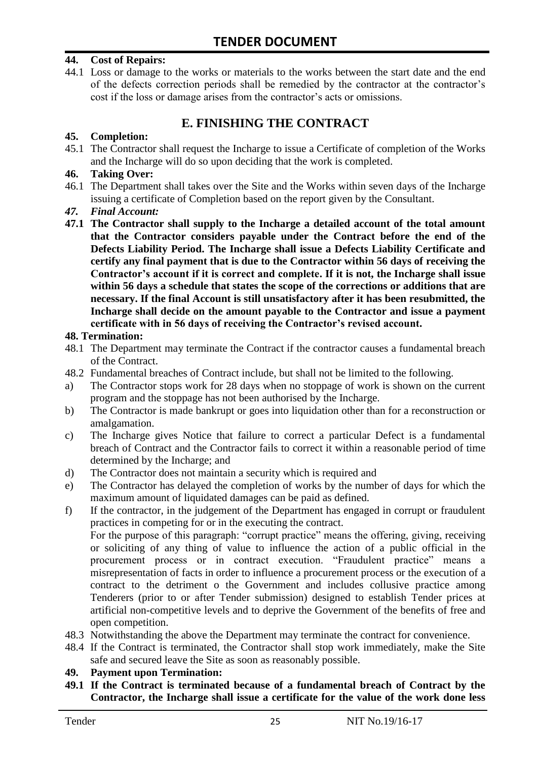#### **44. Cost of Repairs:**

44.1 Loss or damage to the works or materials to the works between the start date and the end of the defects correction periods shall be remedied by the contractor at the contractor"s cost if the loss or damage arises from the contractor's acts or omissions.

# **E. FINISHING THE CONTRACT**

#### **45. Completion:**

45.1 The Contractor shall request the Incharge to issue a Certificate of completion of the Works and the Incharge will do so upon deciding that the work is completed.

#### **46. Taking Over:**

- 46.1 The Department shall takes over the Site and the Works within seven days of the Incharge issuing a certificate of Completion based on the report given by the Consultant.
- *47. Final Account:*
- **47.1 The Contractor shall supply to the Incharge a detailed account of the total amount that the Contractor considers payable under the Contract before the end of the Defects Liability Period. The Incharge shall issue a Defects Liability Certificate and certify any final payment that is due to the Contractor within 56 days of receiving the Contractor's account if it is correct and complete. If it is not, the Incharge shall issue within 56 days a schedule that states the scope of the corrections or additions that are necessary. If the final Account is still unsatisfactory after it has been resubmitted, the Incharge shall decide on the amount payable to the Contractor and issue a payment certificate with in 56 days of receiving the Contractor's revised account.**

#### **48. Termination:**

- 48.1 The Department may terminate the Contract if the contractor causes a fundamental breach of the Contract.
- 48.2 Fundamental breaches of Contract include, but shall not be limited to the following.
- a) The Contractor stops work for 28 days when no stoppage of work is shown on the current program and the stoppage has not been authorised by the Incharge.
- b) The Contractor is made bankrupt or goes into liquidation other than for a reconstruction or amalgamation.
- c) The Incharge gives Notice that failure to correct a particular Defect is a fundamental breach of Contract and the Contractor fails to correct it within a reasonable period of time determined by the Incharge; and
- d) The Contractor does not maintain a security which is required and
- e) The Contractor has delayed the completion of works by the number of days for which the maximum amount of liquidated damages can be paid as defined.
- f) If the contractor, in the judgement of the Department has engaged in corrupt or fraudulent practices in competing for or in the executing the contract.

For the purpose of this paragraph: "corrupt practice" means the offering, giving, receiving or soliciting of any thing of value to influence the action of a public official in the procurement process or in contract execution. "Fraudulent practice" means a misrepresentation of facts in order to influence a procurement process or the execution of a contract to the detriment o the Government and includes collusive practice among Tenderers (prior to or after Tender submission) designed to establish Tender prices at artificial non-competitive levels and to deprive the Government of the benefits of free and open competition.

- 48.3 Notwithstanding the above the Department may terminate the contract for convenience.
- 48.4 If the Contract is terminated, the Contractor shall stop work immediately, make the Site safe and secured leave the Site as soon as reasonably possible.

#### **49. Payment upon Termination:**

**49.1 If the Contract is terminated because of a fundamental breach of Contract by the Contractor, the Incharge shall issue a certificate for the value of the work done less**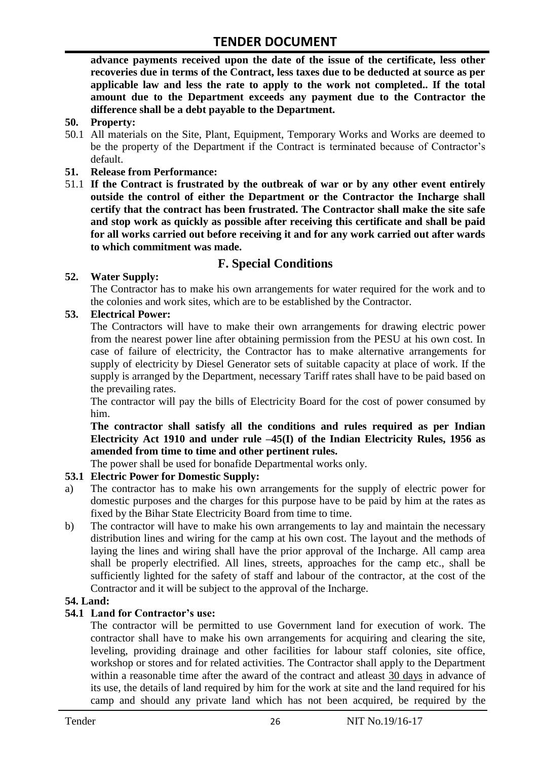**advance payments received upon the date of the issue of the certificate, less other recoveries due in terms of the Contract, less taxes due to be deducted at source as per applicable law and less the rate to apply to the work not completed.. If the total amount due to the Department exceeds any payment due to the Contractor the difference shall be a debt payable to the Department.**

- **50. Property:**
- 50.1 All materials on the Site, Plant, Equipment, Temporary Works and Works are deemed to be the property of the Department if the Contract is terminated because of Contractor's default.
- **51. Release from Performance:**
- 51.1 **If the Contract is frustrated by the outbreak of war or by any other event entirely outside the control of either the Department or the Contractor the Incharge shall certify that the contract has been frustrated. The Contractor shall make the site safe and stop work as quickly as possible after receiving this certificate and shall be paid for all works carried out before receiving it and for any work carried out after wards to which commitment was made.**

# **F. Special Conditions**

#### **52. Water Supply:**

The Contractor has to make his own arrangements for water required for the work and to the colonies and work sites, which are to be established by the Contractor.

#### **53. Electrical Power:**

The Contractors will have to make their own arrangements for drawing electric power from the nearest power line after obtaining permission from the PESU at his own cost. In case of failure of electricity, the Contractor has to make alternative arrangements for supply of electricity by Diesel Generator sets of suitable capacity at place of work. If the supply is arranged by the Department, necessary Tariff rates shall have to be paid based on the prevailing rates.

The contractor will pay the bills of Electricity Board for the cost of power consumed by him.

**The contractor shall satisfy all the conditions and rules required as per Indian Electricity Act 1910 and under rule –45(I) of the Indian Electricity Rules, 1956 as amended from time to time and other pertinent rules.**

The power shall be used for bonafide Departmental works only.

#### **53.1 Electric Power for Domestic Supply:**

- a) The contractor has to make his own arrangements for the supply of electric power for domestic purposes and the charges for this purpose have to be paid by him at the rates as fixed by the Bihar State Electricity Board from time to time.
- b) The contractor will have to make his own arrangements to lay and maintain the necessary distribution lines and wiring for the camp at his own cost. The layout and the methods of laying the lines and wiring shall have the prior approval of the Incharge. All camp area shall be properly electrified. All lines, streets, approaches for the camp etc., shall be sufficiently lighted for the safety of staff and labour of the contractor, at the cost of the Contractor and it will be subject to the approval of the Incharge.

#### **54. Land:**

#### **54.1 Land for Contractor's use:**

The contractor will be permitted to use Government land for execution of work. The contractor shall have to make his own arrangements for acquiring and clearing the site, leveling, providing drainage and other facilities for labour staff colonies, site office, workshop or stores and for related activities. The Contractor shall apply to the Department within a reasonable time after the award of the contract and atleast 30 days in advance of its use, the details of land required by him for the work at site and the land required for his camp and should any private land which has not been acquired, be required by the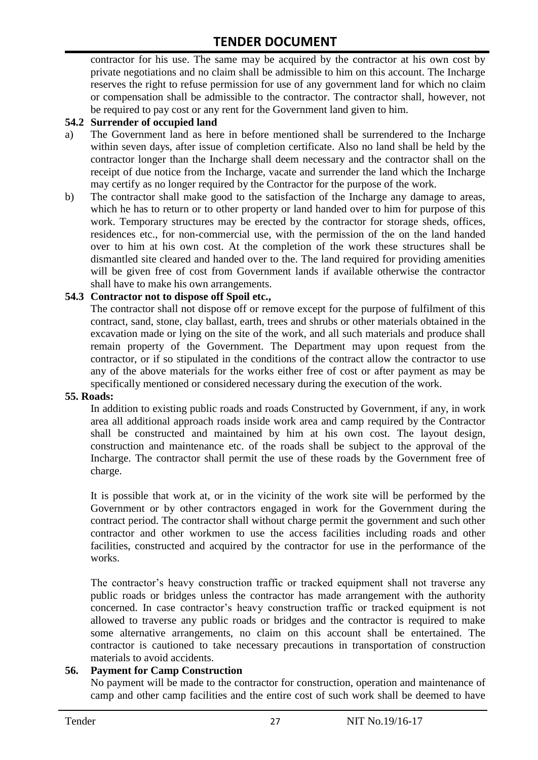contractor for his use. The same may be acquired by the contractor at his own cost by private negotiations and no claim shall be admissible to him on this account. The Incharge reserves the right to refuse permission for use of any government land for which no claim or compensation shall be admissible to the contractor. The contractor shall, however, not be required to pay cost or any rent for the Government land given to him.

#### **54.2 Surrender of occupied land**

- a) The Government land as here in before mentioned shall be surrendered to the Incharge within seven days, after issue of completion certificate. Also no land shall be held by the contractor longer than the Incharge shall deem necessary and the contractor shall on the receipt of due notice from the Incharge, vacate and surrender the land which the Incharge may certify as no longer required by the Contractor for the purpose of the work.
- b) The contractor shall make good to the satisfaction of the Incharge any damage to areas, which he has to return or to other property or land handed over to him for purpose of this work. Temporary structures may be erected by the contractor for storage sheds, offices, residences etc., for non-commercial use, with the permission of the on the land handed over to him at his own cost. At the completion of the work these structures shall be dismantled site cleared and handed over to the. The land required for providing amenities will be given free of cost from Government lands if available otherwise the contractor shall have to make his own arrangements.

#### **54.3 Contractor not to dispose off Spoil etc.,**

The contractor shall not dispose off or remove except for the purpose of fulfilment of this contract, sand, stone, clay ballast, earth, trees and shrubs or other materials obtained in the excavation made or lying on the site of the work, and all such materials and produce shall remain property of the Government. The Department may upon request from the contractor, or if so stipulated in the conditions of the contract allow the contractor to use any of the above materials for the works either free of cost or after payment as may be specifically mentioned or considered necessary during the execution of the work.

#### **55. Roads:**

In addition to existing public roads and roads Constructed by Government, if any, in work area all additional approach roads inside work area and camp required by the Contractor shall be constructed and maintained by him at his own cost. The layout design, construction and maintenance etc. of the roads shall be subject to the approval of the Incharge. The contractor shall permit the use of these roads by the Government free of charge.

It is possible that work at, or in the vicinity of the work site will be performed by the Government or by other contractors engaged in work for the Government during the contract period. The contractor shall without charge permit the government and such other contractor and other workmen to use the access facilities including roads and other facilities, constructed and acquired by the contractor for use in the performance of the works.

The contractor's heavy construction traffic or tracked equipment shall not traverse any public roads or bridges unless the contractor has made arrangement with the authority concerned. In case contractor"s heavy construction traffic or tracked equipment is not allowed to traverse any public roads or bridges and the contractor is required to make some alternative arrangements, no claim on this account shall be entertained. The contractor is cautioned to take necessary precautions in transportation of construction materials to avoid accidents.

#### **56. Payment for Camp Construction**

No payment will be made to the contractor for construction, operation and maintenance of camp and other camp facilities and the entire cost of such work shall be deemed to have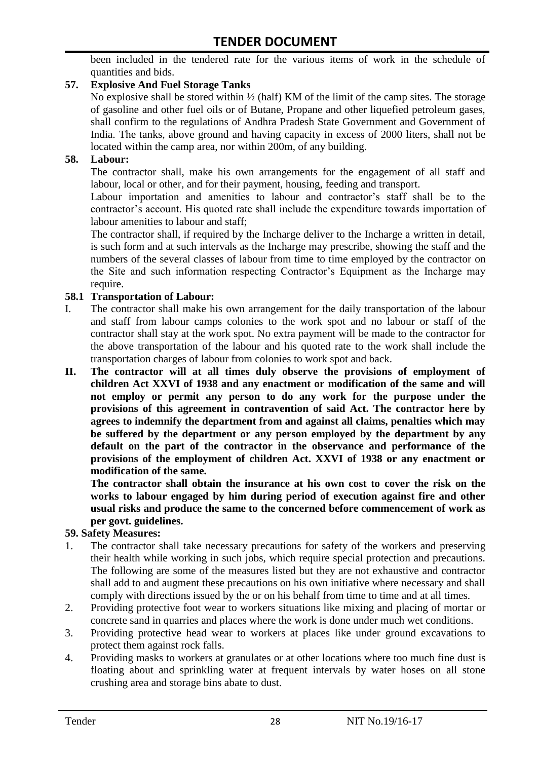been included in the tendered rate for the various items of work in the schedule of quantities and bids.

#### **57. Explosive And Fuel Storage Tanks**

No explosive shall be stored within  $\frac{1}{2}$  (half) KM of the limit of the camp sites. The storage of gasoline and other fuel oils or of Butane, Propane and other liquefied petroleum gases, shall confirm to the regulations of Andhra Pradesh State Government and Government of India. The tanks, above ground and having capacity in excess of 2000 liters, shall not be located within the camp area, nor within 200m, of any building.

#### **58. Labour:**

The contractor shall, make his own arrangements for the engagement of all staff and labour, local or other, and for their payment, housing, feeding and transport.

Labour importation and amenities to labour and contractor's staff shall be to the contractor's account. His quoted rate shall include the expenditure towards importation of labour amenities to labour and staff;

The contractor shall, if required by the Incharge deliver to the Incharge a written in detail, is such form and at such intervals as the Incharge may prescribe, showing the staff and the numbers of the several classes of labour from time to time employed by the contractor on the Site and such information respecting Contractor"s Equipment as the Incharge may require.

#### **58.1 Transportation of Labour:**

- I. The contractor shall make his own arrangement for the daily transportation of the labour and staff from labour camps colonies to the work spot and no labour or staff of the contractor shall stay at the work spot. No extra payment will be made to the contractor for the above transportation of the labour and his quoted rate to the work shall include the transportation charges of labour from colonies to work spot and back.
- **II. The contractor will at all times duly observe the provisions of employment of children Act XXVI of 1938 and any enactment or modification of the same and will not employ or permit any person to do any work for the purpose under the provisions of this agreement in contravention of said Act. The contractor here by agrees to indemnify the department from and against all claims, penalties which may be suffered by the department or any person employed by the department by any default on the part of the contractor in the observance and performance of the provisions of the employment of children Act. XXVI of 1938 or any enactment or modification of the same.**

**The contractor shall obtain the insurance at his own cost to cover the risk on the works to labour engaged by him during period of execution against fire and other usual risks and produce the same to the concerned before commencement of work as per govt. guidelines.**

#### **59. Safety Measures:**

- 1. The contractor shall take necessary precautions for safety of the workers and preserving their health while working in such jobs, which require special protection and precautions. The following are some of the measures listed but they are not exhaustive and contractor shall add to and augment these precautions on his own initiative where necessary and shall comply with directions issued by the or on his behalf from time to time and at all times.
- 2. Providing protective foot wear to workers situations like mixing and placing of mortar or concrete sand in quarries and places where the work is done under much wet conditions.
- 3. Providing protective head wear to workers at places like under ground excavations to protect them against rock falls.
- 4. Providing masks to workers at granulates or at other locations where too much fine dust is floating about and sprinkling water at frequent intervals by water hoses on all stone crushing area and storage bins abate to dust.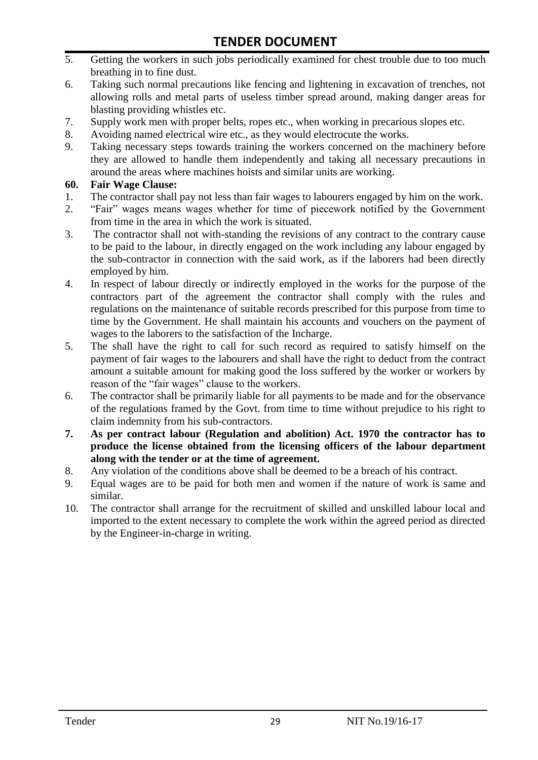- 5. Getting the workers in such jobs periodically examined for chest trouble due to too much breathing in to fine dust.
- 6. Taking such normal precautions like fencing and lightening in excavation of trenches, not allowing rolls and metal parts of useless timber spread around, making danger areas for blasting providing whistles etc.
- 7. Supply work men with proper belts, ropes etc., when working in precarious slopes etc.
- 8. Avoiding named electrical wire etc., as they would electrocute the works.
- 9. Taking necessary steps towards training the workers concerned on the machinery before they are allowed to handle them independently and taking all necessary precautions in around the areas where machines hoists and similar units are working.

#### **60. Fair Wage Clause:**

- 1. The contractor shall pay not less than fair wages to labourers engaged by him on the work.
- 2. "Fair" wages means wages whether for time of piecework notified by the Government from time in the area in which the work is situated.
- 3. The contractor shall not with-standing the revisions of any contract to the contrary cause to be paid to the labour, in directly engaged on the work including any labour engaged by the sub-contractor in connection with the said work, as if the laborers had been directly employed by him.
- 4. In respect of labour directly or indirectly employed in the works for the purpose of the contractors part of the agreement the contractor shall comply with the rules and regulations on the maintenance of suitable records prescribed for this purpose from time to time by the Government. He shall maintain his accounts and vouchers on the payment of wages to the laborers to the satisfaction of the Incharge.
- 5. The shall have the right to call for such record as required to satisfy himself on the payment of fair wages to the labourers and shall have the right to deduct from the contract amount a suitable amount for making good the loss suffered by the worker or workers by reason of the "fair wages" clause to the workers.
- 6. The contractor shall be primarily liable for all payments to be made and for the observance of the regulations framed by the Govt. from time to time without prejudice to his right to claim indemnity from his sub-contractors.
- **7. As per contract labour (Regulation and abolition) Act. 1970 the contractor has to produce the license obtained from the licensing officers of the labour department along with the tender or at the time of agreement.**
- 8. Any violation of the conditions above shall be deemed to be a breach of his contract.
- 9. Equal wages are to be paid for both men and women if the nature of work is same and similar.
- 10. The contractor shall arrange for the recruitment of skilled and unskilled labour local and imported to the extent necessary to complete the work within the agreed period as directed by the Engineer-in-charge in writing.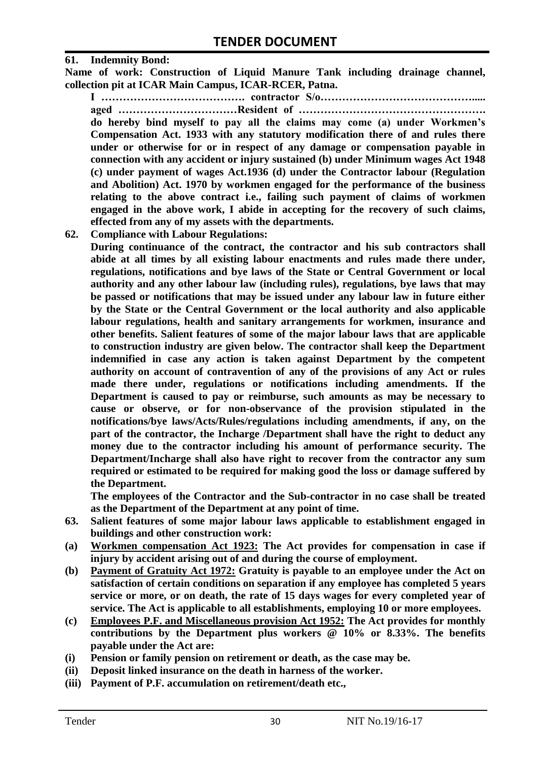#### **61. Indemnity Bond:**

**Name of work: Construction of Liquid Manure Tank including drainage channel, collection pit at ICAR Main Campus, ICAR-RCER, Patna.**

**I …………………………………. contractor S/o……………………………………..... aged ……………………………Resident of ……………………………………………. do hereby bind myself to pay all the claims may come (a) under Workmen's Compensation Act. 1933 with any statutory modification there of and rules there under or otherwise for or in respect of any damage or compensation payable in connection with any accident or injury sustained (b) under Minimum wages Act 1948 (c) under payment of wages Act.1936 (d) under the Contractor labour (Regulation and Abolition) Act. 1970 by workmen engaged for the performance of the business relating to the above contract i.e., failing such payment of claims of workmen engaged in the above work, I abide in accepting for the recovery of such claims, effected from any of my assets with the departments.**

**62. Compliance with Labour Regulations:**

**During continuance of the contract, the contractor and his sub contractors shall abide at all times by all existing labour enactments and rules made there under, regulations, notifications and bye laws of the State or Central Government or local authority and any other labour law (including rules), regulations, bye laws that may be passed or notifications that may be issued under any labour law in future either by the State or the Central Government or the local authority and also applicable labour regulations, health and sanitary arrangements for workmen, insurance and other benefits. Salient features of some of the major labour laws that are applicable to construction industry are given below. The contractor shall keep the Department indemnified in case any action is taken against Department by the competent authority on account of contravention of any of the provisions of any Act or rules made there under, regulations or notifications including amendments. If the Department is caused to pay or reimburse, such amounts as may be necessary to cause or observe, or for non-observance of the provision stipulated in the notifications/bye laws/Acts/Rules/regulations including amendments, if any, on the part of the contractor, the Incharge /Department shall have the right to deduct any money due to the contractor including his amount of performance security. The Department/Incharge shall also have right to recover from the contractor any sum required or estimated to be required for making good the loss or damage suffered by the Department.**

**The employees of the Contractor and the Sub-contractor in no case shall be treated as the Department of the Department at any point of time.**

- **63. Salient features of some major labour laws applicable to establishment engaged in buildings and other construction work:**
- **(a) Workmen compensation Act 1923: The Act provides for compensation in case if injury by accident arising out of and during the course of employment.**
- **(b) Payment of Gratuity Act 1972: Gratuity is payable to an employee under the Act on satisfaction of certain conditions on separation if any employee has completed 5 years service or more, or on death, the rate of 15 days wages for every completed year of service. The Act is applicable to all establishments, employing 10 or more employees.**
- **(c) Employees P.F. and Miscellaneous provision Act 1952: The Act provides for monthly contributions by the Department plus workers @ 10% or 8.33%. The benefits payable under the Act are:**
- **(i) Pension or family pension on retirement or death, as the case may be.**
- **(ii) Deposit linked insurance on the death in harness of the worker.**
- **(iii) Payment of P.F. accumulation on retirement/death etc.,**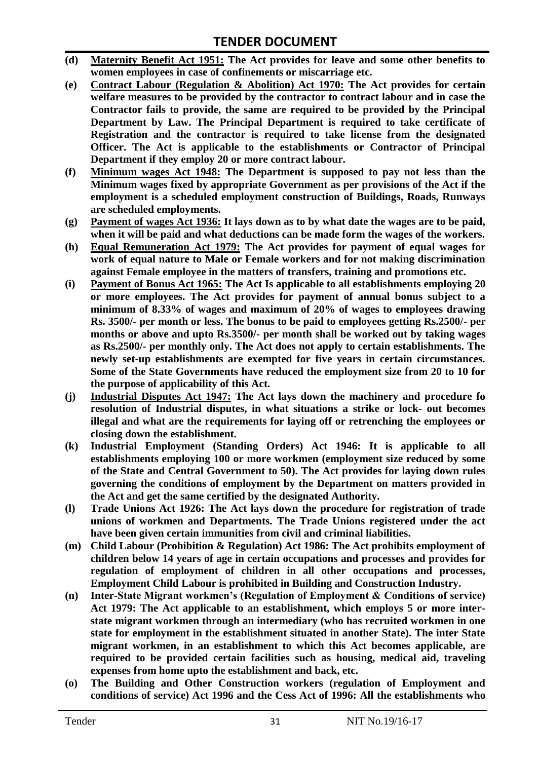- **(d) Maternity Benefit Act 1951: The Act provides for leave and some other benefits to women employees in case of confinements or miscarriage etc.**
- **(e) Contract Labour (Regulation & Abolition) Act 1970: The Act provides for certain welfare measures to be provided by the contractor to contract labour and in case the Contractor fails to provide, the same are required to be provided by the Principal Department by Law. The Principal Department is required to take certificate of Registration and the contractor is required to take license from the designated Officer. The Act is applicable to the establishments or Contractor of Principal Department if they employ 20 or more contract labour.**
- **(f) Minimum wages Act 1948: The Department is supposed to pay not less than the Minimum wages fixed by appropriate Government as per provisions of the Act if the employment is a scheduled employment construction of Buildings, Roads, Runways are scheduled employments.**
- **(g) Payment of wages Act 1936: It lays down as to by what date the wages are to be paid, when it will be paid and what deductions can be made form the wages of the workers.**
- **(h) Equal Remuneration Act 1979: The Act provides for payment of equal wages for work of equal nature to Male or Female workers and for not making discrimination against Female employee in the matters of transfers, training and promotions etc.**
- **(i) Payment of Bonus Act 1965: The Act Is applicable to all establishments employing 20 or more employees. The Act provides for payment of annual bonus subject to a minimum of 8.33% of wages and maximum of 20% of wages to employees drawing Rs. 3500/- per month or less. The bonus to be paid to employees getting Rs.2500/- per months or above and upto Rs.3500/- per month shall be worked out by taking wages as Rs.2500/- per monthly only. The Act does not apply to certain establishments. The newly set-up establishments are exempted for five years in certain circumstances. Some of the State Governments have reduced the employment size from 20 to 10 for the purpose of applicability of this Act.**
- **(j) Industrial Disputes Act 1947: The Act lays down the machinery and procedure fo resolution of Industrial disputes, in what situations a strike or lock- out becomes illegal and what are the requirements for laying off or retrenching the employees or closing down the establishment.**
- **(k) Industrial Employment (Standing Orders) Act 1946: It is applicable to all establishments employing 100 or more workmen (employment size reduced by some of the State and Central Government to 50). The Act provides for laying down rules governing the conditions of employment by the Department on matters provided in the Act and get the same certified by the designated Authority.**
- **(l) Trade Unions Act 1926: The Act lays down the procedure for registration of trade unions of workmen and Departments. The Trade Unions registered under the act have been given certain immunities from civil and criminal liabilities.**
- **(m) Child Labour (Prohibition & Regulation) Act 1986: The Act prohibits employment of children below 14 years of age in certain occupations and processes and provides for regulation of employment of children in all other occupations and processes, Employment Child Labour is prohibited in Building and Construction Industry.**
- **(n) Inter-State Migrant workmen's (Regulation of Employment & Conditions of service) Act 1979: The Act applicable to an establishment, which employs 5 or more interstate migrant workmen through an intermediary (who has recruited workmen in one state for employment in the establishment situated in another State). The inter State migrant workmen, in an establishment to which this Act becomes applicable, are required to be provided certain facilities such as housing, medical aid, traveling expenses from home upto the establishment and back, etc.**
- **(o) The Building and Other Construction workers (regulation of Employment and conditions of service) Act 1996 and the Cess Act of 1996: All the establishments who**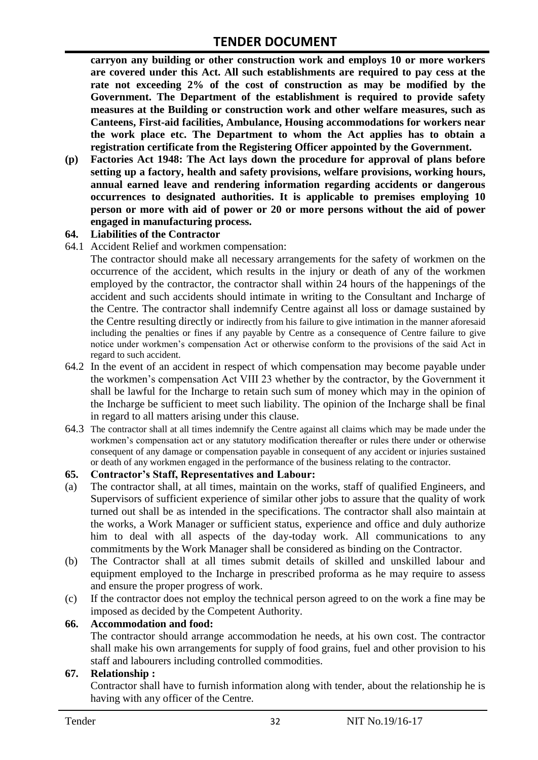**carryon any building or other construction work and employs 10 or more workers are covered under this Act. All such establishments are required to pay cess at the rate not exceeding 2% of the cost of construction as may be modified by the Government. The Department of the establishment is required to provide safety measures at the Building or construction work and other welfare measures, such as Canteens, First-aid facilities, Ambulance, Housing accommodations for workers near the work place etc. The Department to whom the Act applies has to obtain a registration certificate from the Registering Officer appointed by the Government.**

**(p) Factories Act 1948: The Act lays down the procedure for approval of plans before setting up a factory, health and safety provisions, welfare provisions, working hours, annual earned leave and rendering information regarding accidents or dangerous occurrences to designated authorities. It is applicable to premises employing 10 person or more with aid of power or 20 or more persons without the aid of power engaged in manufacturing process.**

#### **64. Liabilities of the Contractor**

64.1 Accident Relief and workmen compensation:

The contractor should make all necessary arrangements for the safety of workmen on the occurrence of the accident, which results in the injury or death of any of the workmen employed by the contractor, the contractor shall within 24 hours of the happenings of the accident and such accidents should intimate in writing to the Consultant and Incharge of the Centre. The contractor shall indemnify Centre against all loss or damage sustained by the Centre resulting directly or indirectly from his failure to give intimation in the manner aforesaid including the penalties or fines if any payable by Centre as a consequence of Centre failure to give notice under workmen"s compensation Act or otherwise conform to the provisions of the said Act in regard to such accident.

- 64.2 In the event of an accident in respect of which compensation may become payable under the workmen"s compensation Act VIII 23 whether by the contractor, by the Government it shall be lawful for the Incharge to retain such sum of money which may in the opinion of the Incharge be sufficient to meet such liability. The opinion of the Incharge shall be final in regard to all matters arising under this clause.
- 64.3 The contractor shall at all times indemnify the Centre against all claims which may be made under the workmen"s compensation act or any statutory modification thereafter or rules there under or otherwise consequent of any damage or compensation payable in consequent of any accident or injuries sustained or death of any workmen engaged in the performance of the business relating to the contractor.

#### **65. Contractor's Staff, Representatives and Labour:**

- (a) The contractor shall, at all times, maintain on the works, staff of qualified Engineers, and Supervisors of sufficient experience of similar other jobs to assure that the quality of work turned out shall be as intended in the specifications. The contractor shall also maintain at the works, a Work Manager or sufficient status, experience and office and duly authorize him to deal with all aspects of the day-today work. All communications to any commitments by the Work Manager shall be considered as binding on the Contractor.
- (b) The Contractor shall at all times submit details of skilled and unskilled labour and equipment employed to the Incharge in prescribed proforma as he may require to assess and ensure the proper progress of work.
- (c) If the contractor does not employ the technical person agreed to on the work a fine may be imposed as decided by the Competent Authority.

#### **66. Accommodation and food:**

The contractor should arrange accommodation he needs, at his own cost. The contractor shall make his own arrangements for supply of food grains, fuel and other provision to his staff and labourers including controlled commodities.

#### **67. Relationship :**

Contractor shall have to furnish information along with tender, about the relationship he is having with any officer of the Centre.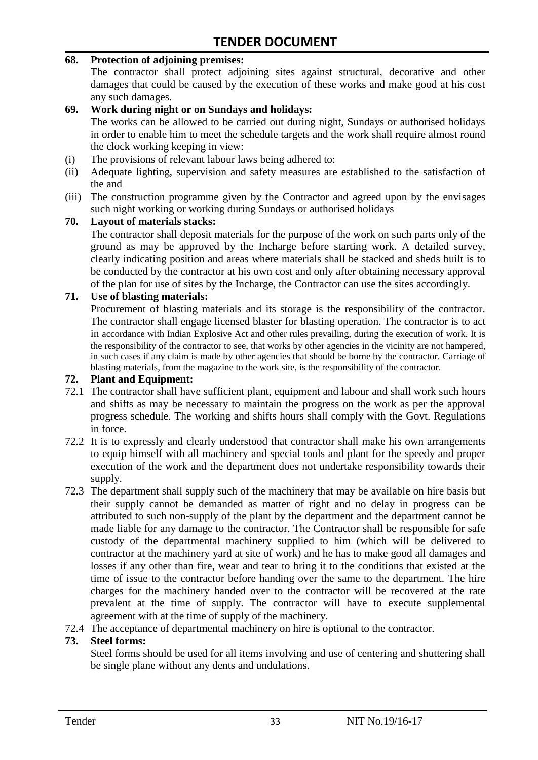#### **68. Protection of adjoining premises:**

The contractor shall protect adjoining sites against structural, decorative and other damages that could be caused by the execution of these works and make good at his cost any such damages.

#### **69. Work during night or on Sundays and holidays:**

The works can be allowed to be carried out during night, Sundays or authorised holidays in order to enable him to meet the schedule targets and the work shall require almost round the clock working keeping in view:

- (i) The provisions of relevant labour laws being adhered to:
- (ii) Adequate lighting, supervision and safety measures are established to the satisfaction of the and
- (iii) The construction programme given by the Contractor and agreed upon by the envisages such night working or working during Sundays or authorised holidays

#### **70. Layout of materials stacks:**

The contractor shall deposit materials for the purpose of the work on such parts only of the ground as may be approved by the Incharge before starting work. A detailed survey, clearly indicating position and areas where materials shall be stacked and sheds built is to be conducted by the contractor at his own cost and only after obtaining necessary approval of the plan for use of sites by the Incharge, the Contractor can use the sites accordingly.

#### **71. Use of blasting materials:**

Procurement of blasting materials and its storage is the responsibility of the contractor. The contractor shall engage licensed blaster for blasting operation. The contractor is to act in accordance with Indian Explosive Act and other rules prevailing, during the execution of work. It is the responsibility of the contractor to see, that works by other agencies in the vicinity are not hampered, in such cases if any claim is made by other agencies that should be borne by the contractor. Carriage of blasting materials, from the magazine to the work site, is the responsibility of the contractor.

#### **72. Plant and Equipment:**

- 72.1 The contractor shall have sufficient plant, equipment and labour and shall work such hours and shifts as may be necessary to maintain the progress on the work as per the approval progress schedule. The working and shifts hours shall comply with the Govt. Regulations in force.
- 72.2 It is to expressly and clearly understood that contractor shall make his own arrangements to equip himself with all machinery and special tools and plant for the speedy and proper execution of the work and the department does not undertake responsibility towards their supply.
- 72.3 The department shall supply such of the machinery that may be available on hire basis but their supply cannot be demanded as matter of right and no delay in progress can be attributed to such non-supply of the plant by the department and the department cannot be made liable for any damage to the contractor. The Contractor shall be responsible for safe custody of the departmental machinery supplied to him (which will be delivered to contractor at the machinery yard at site of work) and he has to make good all damages and losses if any other than fire, wear and tear to bring it to the conditions that existed at the time of issue to the contractor before handing over the same to the department. The hire charges for the machinery handed over to the contractor will be recovered at the rate prevalent at the time of supply. The contractor will have to execute supplemental agreement with at the time of supply of the machinery.
- 72.4 The acceptance of departmental machinery on hire is optional to the contractor.

#### **73. Steel forms:**

Steel forms should be used for all items involving and use of centering and shuttering shall be single plane without any dents and undulations.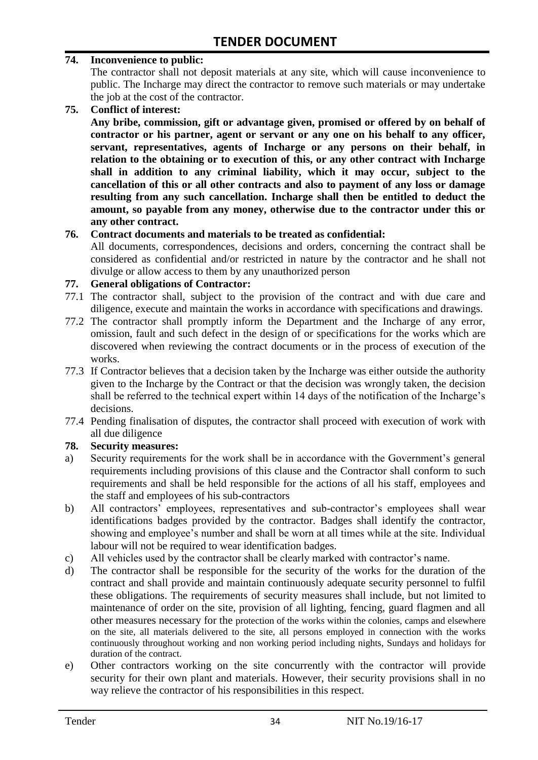#### **74. Inconvenience to public:**

The contractor shall not deposit materials at any site, which will cause inconvenience to public. The Incharge may direct the contractor to remove such materials or may undertake the job at the cost of the contractor.

**75. Conflict of interest:**

**Any bribe, commission, gift or advantage given, promised or offered by on behalf of contractor or his partner, agent or servant or any one on his behalf to any officer, servant, representatives, agents of Incharge or any persons on their behalf, in relation to the obtaining or to execution of this, or any other contract with Incharge shall in addition to any criminal liability, which it may occur, subject to the cancellation of this or all other contracts and also to payment of any loss or damage resulting from any such cancellation. Incharge shall then be entitled to deduct the amount, so payable from any money, otherwise due to the contractor under this or any other contract.**

#### **76. Contract documents and materials to be treated as confidential:**

All documents, correspondences, decisions and orders, concerning the contract shall be considered as confidential and/or restricted in nature by the contractor and he shall not divulge or allow access to them by any unauthorized person

#### **77. General obligations of Contractor:**

- 77.1 The contractor shall, subject to the provision of the contract and with due care and diligence, execute and maintain the works in accordance with specifications and drawings.
- 77.2 The contractor shall promptly inform the Department and the Incharge of any error, omission, fault and such defect in the design of or specifications for the works which are discovered when reviewing the contract documents or in the process of execution of the works.
- 77.3 If Contractor believes that a decision taken by the Incharge was either outside the authority given to the Incharge by the Contract or that the decision was wrongly taken, the decision shall be referred to the technical expert within 14 days of the notification of the Incharge's decisions.
- 77.4 Pending finalisation of disputes, the contractor shall proceed with execution of work with all due diligence

#### **78. Security measures:**

- a) Security requirements for the work shall be in accordance with the Government's general requirements including provisions of this clause and the Contractor shall conform to such requirements and shall be held responsible for the actions of all his staff, employees and the staff and employees of his sub-contractors
- b) All contractors' employees, representatives and sub-contractor's employees shall wear identifications badges provided by the contractor. Badges shall identify the contractor, showing and employee's number and shall be worn at all times while at the site. Individual labour will not be required to wear identification badges.
- c) All vehicles used by the contractor shall be clearly marked with contractor"s name.
- d) The contractor shall be responsible for the security of the works for the duration of the contract and shall provide and maintain continuously adequate security personnel to fulfil these obligations. The requirements of security measures shall include, but not limited to maintenance of order on the site, provision of all lighting, fencing, guard flagmen and all other measures necessary for the protection of the works within the colonies, camps and elsewhere on the site, all materials delivered to the site, all persons employed in connection with the works continuously throughout working and non working period including nights, Sundays and holidays for duration of the contract.
- e) Other contractors working on the site concurrently with the contractor will provide security for their own plant and materials. However, their security provisions shall in no way relieve the contractor of his responsibilities in this respect.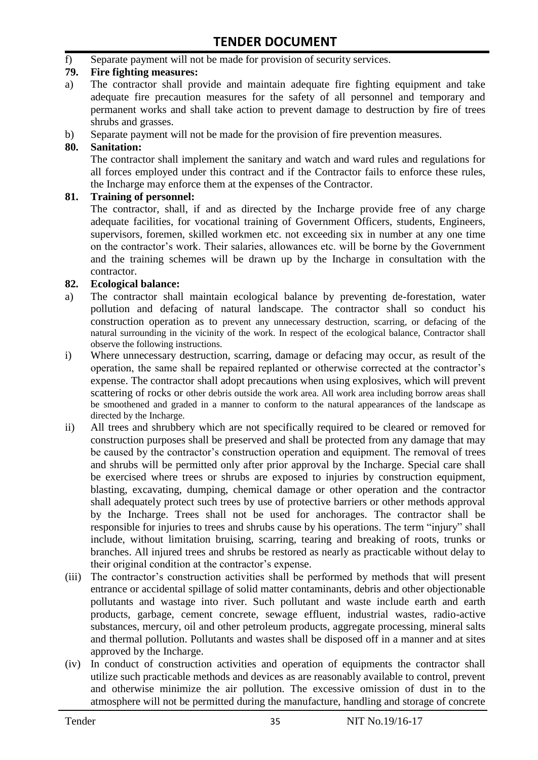f) Separate payment will not be made for provision of security services.

#### **79. Fire fighting measures:**

- a) The contractor shall provide and maintain adequate fire fighting equipment and take adequate fire precaution measures for the safety of all personnel and temporary and permanent works and shall take action to prevent damage to destruction by fire of trees shrubs and grasses.
- b) Separate payment will not be made for the provision of fire prevention measures.

#### **80. Sanitation:**

The contractor shall implement the sanitary and watch and ward rules and regulations for all forces employed under this contract and if the Contractor fails to enforce these rules, the Incharge may enforce them at the expenses of the Contractor.

#### **81. Training of personnel:**

The contractor, shall, if and as directed by the Incharge provide free of any charge adequate facilities, for vocational training of Government Officers, students, Engineers, supervisors, foremen, skilled workmen etc. not exceeding six in number at any one time on the contractor"s work. Their salaries, allowances etc. will be borne by the Government and the training schemes will be drawn up by the Incharge in consultation with the contractor.

#### **82. Ecological balance:**

- a) The contractor shall maintain ecological balance by preventing de-forestation, water pollution and defacing of natural landscape. The contractor shall so conduct his construction operation as to prevent any unnecessary destruction, scarring, or defacing of the natural surrounding in the vicinity of the work. In respect of the ecological balance, Contractor shall observe the following instructions.
- i) Where unnecessary destruction, scarring, damage or defacing may occur, as result of the operation, the same shall be repaired replanted or otherwise corrected at the contractor"s expense. The contractor shall adopt precautions when using explosives, which will prevent scattering of rocks or other debris outside the work area. All work area including borrow areas shall be smoothened and graded in a manner to conform to the natural appearances of the landscape as directed by the Incharge.
- ii) All trees and shrubbery which are not specifically required to be cleared or removed for construction purposes shall be preserved and shall be protected from any damage that may be caused by the contractor's construction operation and equipment. The removal of trees and shrubs will be permitted only after prior approval by the Incharge. Special care shall be exercised where trees or shrubs are exposed to injuries by construction equipment, blasting, excavating, dumping, chemical damage or other operation and the contractor shall adequately protect such trees by use of protective barriers or other methods approval by the Incharge. Trees shall not be used for anchorages. The contractor shall be responsible for injuries to trees and shrubs cause by his operations. The term "injury" shall include, without limitation bruising, scarring, tearing and breaking of roots, trunks or branches. All injured trees and shrubs be restored as nearly as practicable without delay to their original condition at the contractor's expense.
- (iii) The contractor's construction activities shall be performed by methods that will present entrance or accidental spillage of solid matter contaminants, debris and other objectionable pollutants and wastage into river. Such pollutant and waste include earth and earth products, garbage, cement concrete, sewage effluent, industrial wastes, radio-active substances, mercury, oil and other petroleum products, aggregate processing, mineral salts and thermal pollution. Pollutants and wastes shall be disposed off in a manner and at sites approved by the Incharge.
- (iv) In conduct of construction activities and operation of equipments the contractor shall utilize such practicable methods and devices as are reasonably available to control, prevent and otherwise minimize the air pollution. The excessive omission of dust in to the atmosphere will not be permitted during the manufacture, handling and storage of concrete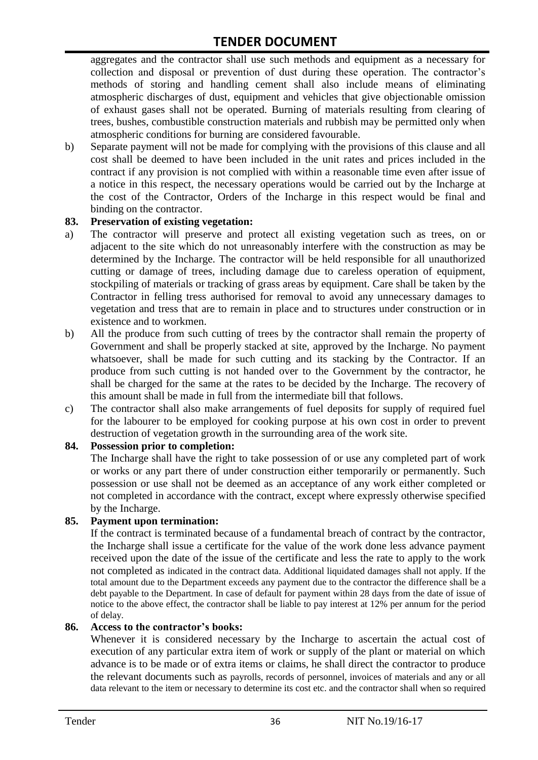aggregates and the contractor shall use such methods and equipment as a necessary for collection and disposal or prevention of dust during these operation. The contractor's methods of storing and handling cement shall also include means of eliminating atmospheric discharges of dust, equipment and vehicles that give objectionable omission of exhaust gases shall not be operated. Burning of materials resulting from clearing of trees, bushes, combustible construction materials and rubbish may be permitted only when atmospheric conditions for burning are considered favourable.

b) Separate payment will not be made for complying with the provisions of this clause and all cost shall be deemed to have been included in the unit rates and prices included in the contract if any provision is not complied with within a reasonable time even after issue of a notice in this respect, the necessary operations would be carried out by the Incharge at the cost of the Contractor, Orders of the Incharge in this respect would be final and binding on the contractor.

#### **83. Preservation of existing vegetation:**

- a) The contractor will preserve and protect all existing vegetation such as trees, on or adjacent to the site which do not unreasonably interfere with the construction as may be determined by the Incharge. The contractor will be held responsible for all unauthorized cutting or damage of trees, including damage due to careless operation of equipment, stockpiling of materials or tracking of grass areas by equipment. Care shall be taken by the Contractor in felling tress authorised for removal to avoid any unnecessary damages to vegetation and tress that are to remain in place and to structures under construction or in existence and to workmen.
- b) All the produce from such cutting of trees by the contractor shall remain the property of Government and shall be properly stacked at site, approved by the Incharge. No payment whatsoever, shall be made for such cutting and its stacking by the Contractor. If an produce from such cutting is not handed over to the Government by the contractor, he shall be charged for the same at the rates to be decided by the Incharge. The recovery of this amount shall be made in full from the intermediate bill that follows.
- c) The contractor shall also make arrangements of fuel deposits for supply of required fuel for the labourer to be employed for cooking purpose at his own cost in order to prevent destruction of vegetation growth in the surrounding area of the work site.

#### **84. Possession prior to completion:**

The Incharge shall have the right to take possession of or use any completed part of work or works or any part there of under construction either temporarily or permanently. Such possession or use shall not be deemed as an acceptance of any work either completed or not completed in accordance with the contract, except where expressly otherwise specified by the Incharge.

#### **85. Payment upon termination:**

If the contract is terminated because of a fundamental breach of contract by the contractor, the Incharge shall issue a certificate for the value of the work done less advance payment received upon the date of the issue of the certificate and less the rate to apply to the work not completed as indicated in the contract data. Additional liquidated damages shall not apply. If the total amount due to the Department exceeds any payment due to the contractor the difference shall be a debt payable to the Department. In case of default for payment within 28 days from the date of issue of notice to the above effect, the contractor shall be liable to pay interest at 12% per annum for the period of delay.

#### **86. Access to the contractor's books:**

Whenever it is considered necessary by the Incharge to ascertain the actual cost of execution of any particular extra item of work or supply of the plant or material on which advance is to be made or of extra items or claims, he shall direct the contractor to produce the relevant documents such as payrolls, records of personnel, invoices of materials and any or all data relevant to the item or necessary to determine its cost etc. and the contractor shall when so required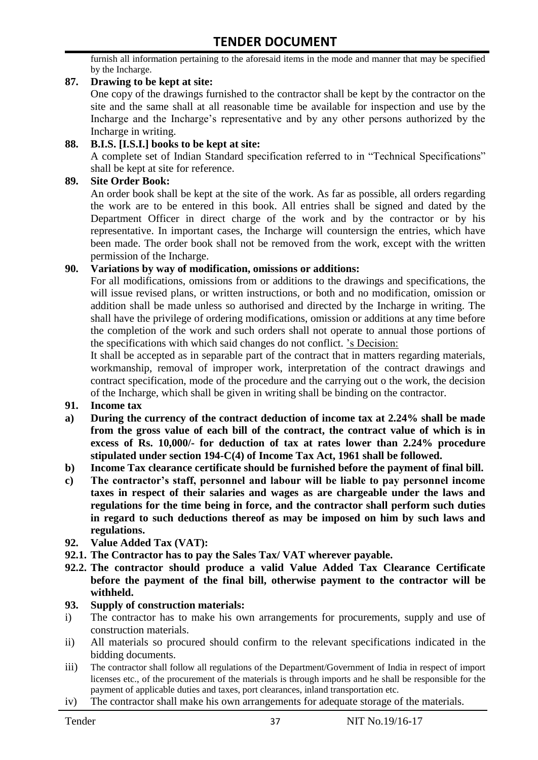furnish all information pertaining to the aforesaid items in the mode and manner that may be specified by the Incharge.

#### **87. Drawing to be kept at site:**

One copy of the drawings furnished to the contractor shall be kept by the contractor on the site and the same shall at all reasonable time be available for inspection and use by the Incharge and the Incharge"s representative and by any other persons authorized by the Incharge in writing.

#### **88. B.I.S. [I.S.I.] books to be kept at site:**

A complete set of Indian Standard specification referred to in "Technical Specifications" shall be kept at site for reference.

#### **89. Site Order Book:**

An order book shall be kept at the site of the work. As far as possible, all orders regarding the work are to be entered in this book. All entries shall be signed and dated by the Department Officer in direct charge of the work and by the contractor or by his representative. In important cases, the Incharge will countersign the entries, which have been made. The order book shall not be removed from the work, except with the written permission of the Incharge.

#### **90. Variations by way of modification, omissions or additions:**

For all modifications, omissions from or additions to the drawings and specifications, the will issue revised plans, or written instructions, or both and no modification, omission or addition shall be made unless so authorised and directed by the Incharge in writing. The shall have the privilege of ordering modifications, omission or additions at any time before the completion of the work and such orders shall not operate to annual those portions of the specifications with which said changes do not conflict. "s Decision:

It shall be accepted as in separable part of the contract that in matters regarding materials, workmanship, removal of improper work, interpretation of the contract drawings and contract specification, mode of the procedure and the carrying out o the work, the decision of the Incharge, which shall be given in writing shall be binding on the contractor.

- **91. Income tax**
- **a) During the currency of the contract deduction of income tax at 2.24% shall be made from the gross value of each bill of the contract, the contract value of which is in excess of Rs. 10,000/- for deduction of tax at rates lower than 2.24% procedure stipulated under section 194-C(4) of Income Tax Act, 1961 shall be followed.**
- **b) Income Tax clearance certificate should be furnished before the payment of final bill.**
- **c) The contractor's staff, personnel and labour will be liable to pay personnel income taxes in respect of their salaries and wages as are chargeable under the laws and regulations for the time being in force, and the contractor shall perform such duties in regard to such deductions thereof as may be imposed on him by such laws and regulations.**
- **92. Value Added Tax (VAT):**
- **92.1. The Contractor has to pay the Sales Tax/ VAT wherever payable.**
- **92.2. The contractor should produce a valid Value Added Tax Clearance Certificate before the payment of the final bill, otherwise payment to the contractor will be withheld.**

#### **93. Supply of construction materials:**

- i) The contractor has to make his own arrangements for procurements, supply and use of construction materials.
- ii) All materials so procured should confirm to the relevant specifications indicated in the bidding documents.
- iii) The contractor shall follow all regulations of the Department/Government of India in respect of import licenses etc., of the procurement of the materials is through imports and he shall be responsible for the payment of applicable duties and taxes, port clearances, inland transportation etc.
- iv) The contractor shall make his own arrangements for adequate storage of the materials.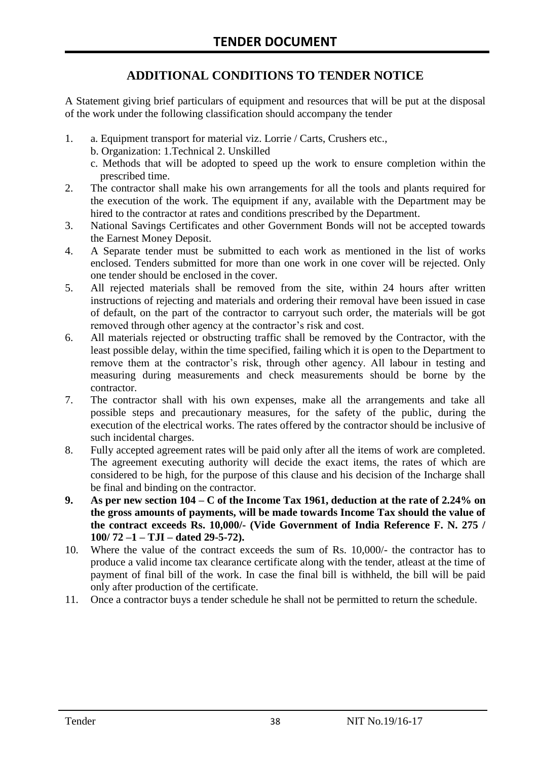# **ADDITIONAL CONDITIONS TO TENDER NOTICE**

A Statement giving brief particulars of equipment and resources that will be put at the disposal of the work under the following classification should accompany the tender

- 1. a. Equipment transport for material viz. Lorrie / Carts, Crushers etc.,
	- b. Organization: 1.Technical 2. Unskilled
	- c. Methods that will be adopted to speed up the work to ensure completion within the prescribed time.
- 2. The contractor shall make his own arrangements for all the tools and plants required for the execution of the work. The equipment if any, available with the Department may be hired to the contractor at rates and conditions prescribed by the Department.
- 3. National Savings Certificates and other Government Bonds will not be accepted towards the Earnest Money Deposit.
- 4. A Separate tender must be submitted to each work as mentioned in the list of works enclosed. Tenders submitted for more than one work in one cover will be rejected. Only one tender should be enclosed in the cover.
- 5. All rejected materials shall be removed from the site, within 24 hours after written instructions of rejecting and materials and ordering their removal have been issued in case of default, on the part of the contractor to carryout such order, the materials will be got removed through other agency at the contractor's risk and cost.
- 6. All materials rejected or obstructing traffic shall be removed by the Contractor, with the least possible delay, within the time specified, failing which it is open to the Department to remove them at the contractor's risk, through other agency. All labour in testing and measuring during measurements and check measurements should be borne by the contractor.
- 7. The contractor shall with his own expenses, make all the arrangements and take all possible steps and precautionary measures, for the safety of the public, during the execution of the electrical works. The rates offered by the contractor should be inclusive of such incidental charges.
- 8. Fully accepted agreement rates will be paid only after all the items of work are completed. The agreement executing authority will decide the exact items, the rates of which are considered to be high, for the purpose of this clause and his decision of the Incharge shall be final and binding on the contractor.
- **9. As per new section 104 – C of the Income Tax 1961, deduction at the rate of 2.24% on the gross amounts of payments, will be made towards Income Tax should the value of the contract exceeds Rs. 10,000/- (Vide Government of India Reference F. N. 275 / 100/ 72 –1 – TJI – dated 29-5-72).**
- 10. Where the value of the contract exceeds the sum of Rs. 10,000/- the contractor has to produce a valid income tax clearance certificate along with the tender, atleast at the time of payment of final bill of the work. In case the final bill is withheld, the bill will be paid only after production of the certificate.
- 11. Once a contractor buys a tender schedule he shall not be permitted to return the schedule.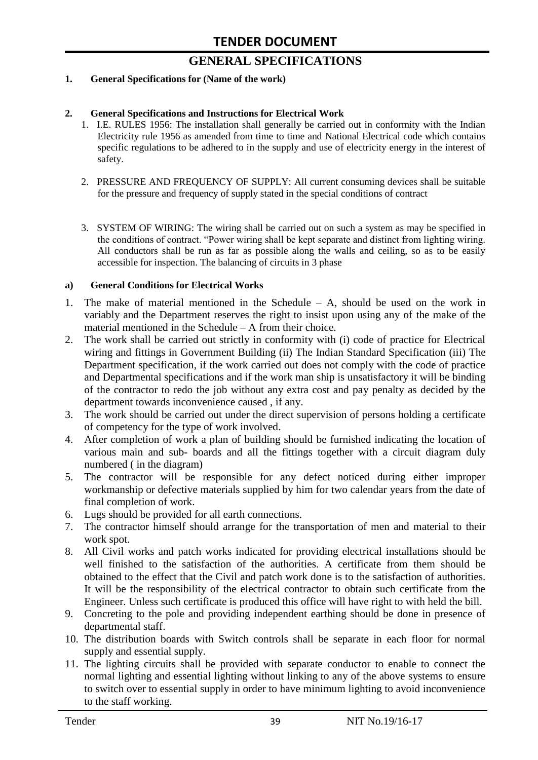# **GENERAL SPECIFICATIONS**

#### **1. General Specifications for (Name of the work)**

#### **2. General Specifications and Instructions for Electrical Work**

- 1. I.E. RULES 1956: The installation shall generally be carried out in conformity with the Indian Electricity rule 1956 as amended from time to time and National Electrical code which contains specific regulations to be adhered to in the supply and use of electricity energy in the interest of safety.
- 2. PRESSURE AND FREQUENCY OF SUPPLY: All current consuming devices shall be suitable for the pressure and frequency of supply stated in the special conditions of contract
- 3. SYSTEM OF WIRING: The wiring shall be carried out on such a system as may be specified in the conditions of contract. "Power wiring shall be kept separate and distinct from lighting wiring. All conductors shall be run as far as possible along the walls and ceiling, so as to be easily accessible for inspection. The balancing of circuits in 3 phase

#### **a) General Conditions for Electrical Works**

- 1. The make of material mentioned in the Schedule A, should be used on the work in variably and the Department reserves the right to insist upon using any of the make of the material mentioned in the Schedule – A from their choice.
- 2. The work shall be carried out strictly in conformity with (i) code of practice for Electrical wiring and fittings in Government Building (ii) The Indian Standard Specification (iii) The Department specification, if the work carried out does not comply with the code of practice and Departmental specifications and if the work man ship is unsatisfactory it will be binding of the contractor to redo the job without any extra cost and pay penalty as decided by the department towards inconvenience caused , if any.
- 3. The work should be carried out under the direct supervision of persons holding a certificate of competency for the type of work involved.
- 4. After completion of work a plan of building should be furnished indicating the location of various main and sub- boards and all the fittings together with a circuit diagram duly numbered ( in the diagram)
- 5. The contractor will be responsible for any defect noticed during either improper workmanship or defective materials supplied by him for two calendar years from the date of final completion of work.
- 6. Lugs should be provided for all earth connections.
- 7. The contractor himself should arrange for the transportation of men and material to their work spot.
- 8. All Civil works and patch works indicated for providing electrical installations should be well finished to the satisfaction of the authorities. A certificate from them should be obtained to the effect that the Civil and patch work done is to the satisfaction of authorities. It will be the responsibility of the electrical contractor to obtain such certificate from the Engineer. Unless such certificate is produced this office will have right to with held the bill.
- 9. Concreting to the pole and providing independent earthing should be done in presence of departmental staff.
- 10. The distribution boards with Switch controls shall be separate in each floor for normal supply and essential supply.
- 11. The lighting circuits shall be provided with separate conductor to enable to connect the normal lighting and essential lighting without linking to any of the above systems to ensure to switch over to essential supply in order to have minimum lighting to avoid inconvenience to the staff working.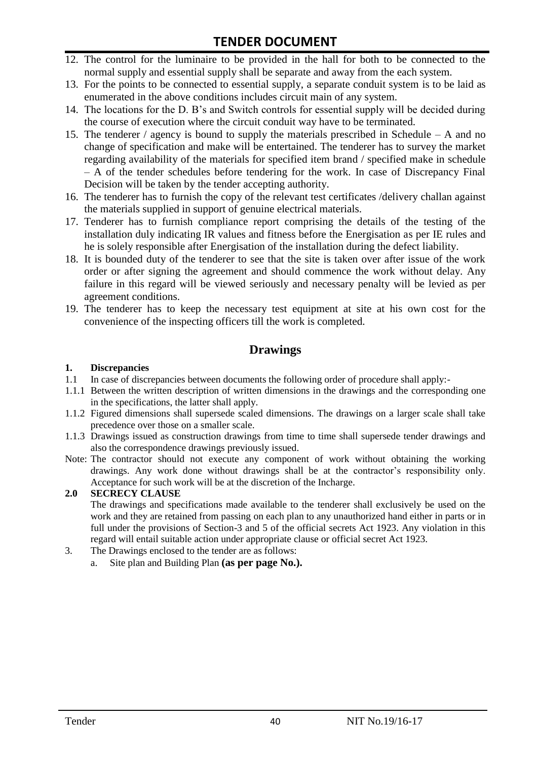- 12. The control for the luminaire to be provided in the hall for both to be connected to the normal supply and essential supply shall be separate and away from the each system.
- 13. For the points to be connected to essential supply, a separate conduit system is to be laid as enumerated in the above conditions includes circuit main of any system.
- 14. The locations for the D. B"s and Switch controls for essential supply will be decided during the course of execution where the circuit conduit way have to be terminated.
- 15. The tenderer / agency is bound to supply the materials prescribed in Schedule A and no change of specification and make will be entertained. The tenderer has to survey the market regarding availability of the materials for specified item brand / specified make in schedule – A of the tender schedules before tendering for the work. In case of Discrepancy Final Decision will be taken by the tender accepting authority.
- 16. The tenderer has to furnish the copy of the relevant test certificates /delivery challan against the materials supplied in support of genuine electrical materials.
- 17. Tenderer has to furnish compliance report comprising the details of the testing of the installation duly indicating IR values and fitness before the Energisation as per IE rules and he is solely responsible after Energisation of the installation during the defect liability.
- 18. It is bounded duty of the tenderer to see that the site is taken over after issue of the work order or after signing the agreement and should commence the work without delay. Any failure in this regard will be viewed seriously and necessary penalty will be levied as per agreement conditions.
- 19. The tenderer has to keep the necessary test equipment at site at his own cost for the convenience of the inspecting officers till the work is completed.

#### **Drawings**

#### **1. Discrepancies**

- 1.1 In case of discrepancies between documents the following order of procedure shall apply:-
- 1.1.1 Between the written description of written dimensions in the drawings and the corresponding one in the specifications, the latter shall apply.
- 1.1.2 Figured dimensions shall supersede scaled dimensions. The drawings on a larger scale shall take precedence over those on a smaller scale.
- 1.1.3 Drawings issued as construction drawings from time to time shall supersede tender drawings and also the correspondence drawings previously issued.
- Note: The contractor should not execute any component of work without obtaining the working drawings. Any work done without drawings shall be at the contractor"s responsibility only. Acceptance for such work will be at the discretion of the Incharge.

#### **2.0 SECRECY CLAUSE**

The drawings and specifications made available to the tenderer shall exclusively be used on the work and they are retained from passing on each plan to any unauthorized hand either in parts or in full under the provisions of Section-3 and 5 of the official secrets Act 1923. Any violation in this regard will entail suitable action under appropriate clause or official secret Act 1923.

- 3. The Drawings enclosed to the tender are as follows:
	- a. Site plan and Building Plan **(as per page No.).**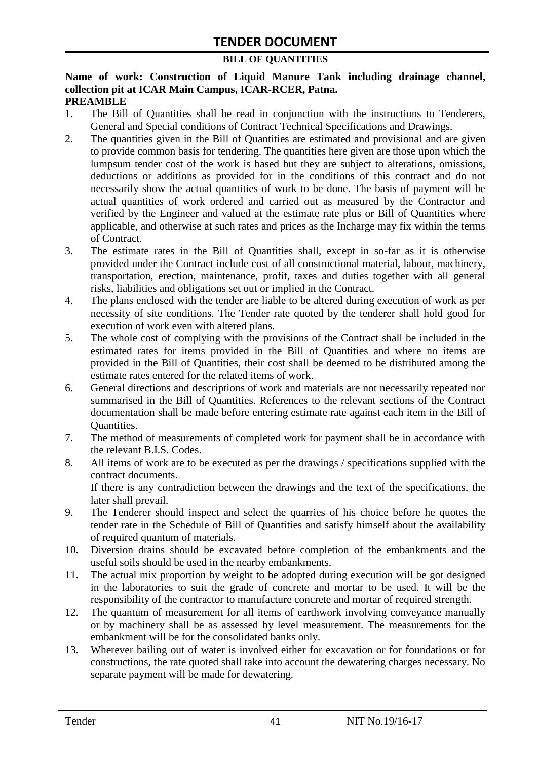#### **BILL OF QUANTITIES**

#### **Name of work: Construction of Liquid Manure Tank including drainage channel, collection pit at ICAR Main Campus, ICAR-RCER, Patna. PREAMBLE**

- 1. The Bill of Quantities shall be read in conjunction with the instructions to Tenderers, General and Special conditions of Contract Technical Specifications and Drawings.
- 2. The quantities given in the Bill of Quantities are estimated and provisional and are given to provide common basis for tendering. The quantities here given are those upon which the lumpsum tender cost of the work is based but they are subject to alterations, omissions, deductions or additions as provided for in the conditions of this contract and do not necessarily show the actual quantities of work to be done. The basis of payment will be actual quantities of work ordered and carried out as measured by the Contractor and verified by the Engineer and valued at the estimate rate plus or Bill of Quantities where applicable, and otherwise at such rates and prices as the Incharge may fix within the terms of Contract.
- 3. The estimate rates in the Bill of Quantities shall, except in so-far as it is otherwise provided under the Contract include cost of all constructional material, labour, machinery, transportation, erection, maintenance, profit, taxes and duties together with all general risks, liabilities and obligations set out or implied in the Contract.
- 4. The plans enclosed with the tender are liable to be altered during execution of work as per necessity of site conditions. The Tender rate quoted by the tenderer shall hold good for execution of work even with altered plans.
- 5. The whole cost of complying with the provisions of the Contract shall be included in the estimated rates for items provided in the Bill of Quantities and where no items are provided in the Bill of Quantities, their cost shall be deemed to be distributed among the estimate rates entered for the related items of work.
- 6. General directions and descriptions of work and materials are not necessarily repeated nor summarised in the Bill of Quantities. References to the relevant sections of the Contract documentation shall be made before entering estimate rate against each item in the Bill of Quantities.
- 7. The method of measurements of completed work for payment shall be in accordance with the relevant B.I.S. Codes.
- 8. All items of work are to be executed as per the drawings / specifications supplied with the contract documents. If there is any contradiction between the drawings and the text of the specifications, the

later shall prevail.

- 9. The Tenderer should inspect and select the quarries of his choice before he quotes the tender rate in the Schedule of Bill of Quantities and satisfy himself about the availability of required quantum of materials.
- 10. Diversion drains should be excavated before completion of the embankments and the useful soils should be used in the nearby embankments.
- 11. The actual mix proportion by weight to be adopted during execution will be got designed in the laboratories to suit the grade of concrete and mortar to be used. It will be the responsibility of the contractor to manufacture concrete and mortar of required strength.
- 12. The quantum of measurement for all items of earthwork involving conveyance manually or by machinery shall be as assessed by level measurement. The measurements for the embankment will be for the consolidated banks only.
- 13. Wherever bailing out of water is involved either for excavation or for foundations or for constructions, the rate quoted shall take into account the dewatering charges necessary. No separate payment will be made for dewatering.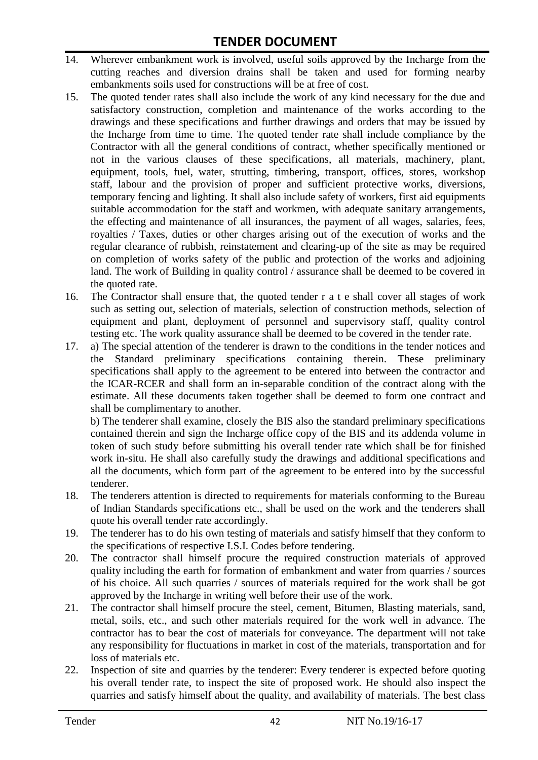- 14. Wherever embankment work is involved, useful soils approved by the Incharge from the cutting reaches and diversion drains shall be taken and used for forming nearby embankments soils used for constructions will be at free of cost.
- 15. The quoted tender rates shall also include the work of any kind necessary for the due and satisfactory construction, completion and maintenance of the works according to the drawings and these specifications and further drawings and orders that may be issued by the Incharge from time to time. The quoted tender rate shall include compliance by the Contractor with all the general conditions of contract, whether specifically mentioned or not in the various clauses of these specifications, all materials, machinery, plant, equipment, tools, fuel, water, strutting, timbering, transport, offices, stores, workshop staff, labour and the provision of proper and sufficient protective works, diversions, temporary fencing and lighting. It shall also include safety of workers, first aid equipments suitable accommodation for the staff and workmen, with adequate sanitary arrangements, the effecting and maintenance of all insurances, the payment of all wages, salaries, fees, royalties / Taxes, duties or other charges arising out of the execution of works and the regular clearance of rubbish, reinstatement and clearing-up of the site as may be required on completion of works safety of the public and protection of the works and adjoining land. The work of Building in quality control / assurance shall be deemed to be covered in the quoted rate.
- 16. The Contractor shall ensure that, the quoted tender r a t e shall cover all stages of work such as setting out, selection of materials, selection of construction methods, selection of equipment and plant, deployment of personnel and supervisory staff, quality control testing etc. The work quality assurance shall be deemed to be covered in the tender rate.
- 17. a) The special attention of the tenderer is drawn to the conditions in the tender notices and the Standard preliminary specifications containing therein. These preliminary specifications shall apply to the agreement to be entered into between the contractor and the ICAR-RCER and shall form an in-separable condition of the contract along with the estimate. All these documents taken together shall be deemed to form one contract and shall be complimentary to another.

b) The tenderer shall examine, closely the BIS also the standard preliminary specifications contained therein and sign the Incharge office copy of the BIS and its addenda volume in token of such study before submitting his overall tender rate which shall be for finished work in-situ. He shall also carefully study the drawings and additional specifications and all the documents, which form part of the agreement to be entered into by the successful tenderer.

- 18. The tenderers attention is directed to requirements for materials conforming to the Bureau of Indian Standards specifications etc., shall be used on the work and the tenderers shall quote his overall tender rate accordingly.
- 19. The tenderer has to do his own testing of materials and satisfy himself that they conform to the specifications of respective I.S.I. Codes before tendering.
- 20. The contractor shall himself procure the required construction materials of approved quality including the earth for formation of embankment and water from quarries / sources of his choice. All such quarries / sources of materials required for the work shall be got approved by the Incharge in writing well before their use of the work.
- 21. The contractor shall himself procure the steel, cement, Bitumen, Blasting materials, sand, metal, soils, etc., and such other materials required for the work well in advance. The contractor has to bear the cost of materials for conveyance. The department will not take any responsibility for fluctuations in market in cost of the materials, transportation and for loss of materials etc.
- 22. Inspection of site and quarries by the tenderer: Every tenderer is expected before quoting his overall tender rate, to inspect the site of proposed work. He should also inspect the quarries and satisfy himself about the quality, and availability of materials. The best class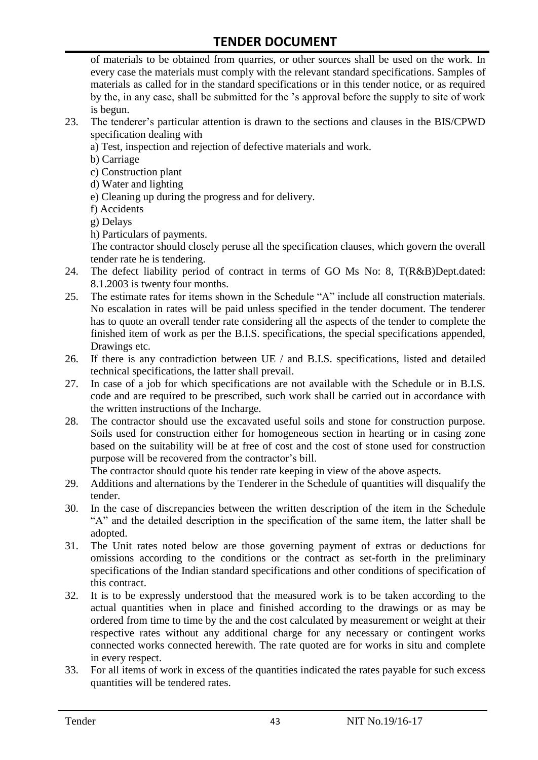of materials to be obtained from quarries, or other sources shall be used on the work. In every case the materials must comply with the relevant standard specifications. Samples of materials as called for in the standard specifications or in this tender notice, or as required by the, in any case, shall be submitted for the "s approval before the supply to site of work is begun.

- 23. The tenderer"s particular attention is drawn to the sections and clauses in the BIS/CPWD specification dealing with
	- a) Test, inspection and rejection of defective materials and work.
	- b) Carriage
	- c) Construction plant
	- d) Water and lighting
	- e) Cleaning up during the progress and for delivery.
	- f) Accidents
	- g) Delays
	- h) Particulars of payments.

The contractor should closely peruse all the specification clauses, which govern the overall tender rate he is tendering.

- 24. The defect liability period of contract in terms of GO Ms No: 8, T(R&B)Dept.dated: 8.1.2003 is twenty four months.
- 25. The estimate rates for items shown in the Schedule "A" include all construction materials. No escalation in rates will be paid unless specified in the tender document. The tenderer has to quote an overall tender rate considering all the aspects of the tender to complete the finished item of work as per the B.I.S. specifications, the special specifications appended, Drawings etc.
- 26. If there is any contradiction between UE / and B.I.S. specifications, listed and detailed technical specifications, the latter shall prevail.
- 27. In case of a job for which specifications are not available with the Schedule or in B.I.S. code and are required to be prescribed, such work shall be carried out in accordance with the written instructions of the Incharge.
- 28. The contractor should use the excavated useful soils and stone for construction purpose. Soils used for construction either for homogeneous section in hearting or in casing zone based on the suitability will be at free of cost and the cost of stone used for construction purpose will be recovered from the contractor's bill.

The contractor should quote his tender rate keeping in view of the above aspects.

- 29. Additions and alternations by the Tenderer in the Schedule of quantities will disqualify the tender.
- 30. In the case of discrepancies between the written description of the item in the Schedule "A" and the detailed description in the specification of the same item, the latter shall be adopted.
- 31. The Unit rates noted below are those governing payment of extras or deductions for omissions according to the conditions or the contract as set-forth in the preliminary specifications of the Indian standard specifications and other conditions of specification of this contract.
- 32. It is to be expressly understood that the measured work is to be taken according to the actual quantities when in place and finished according to the drawings or as may be ordered from time to time by the and the cost calculated by measurement or weight at their respective rates without any additional charge for any necessary or contingent works connected works connected herewith. The rate quoted are for works in situ and complete in every respect.
- 33. For all items of work in excess of the quantities indicated the rates payable for such excess quantities will be tendered rates.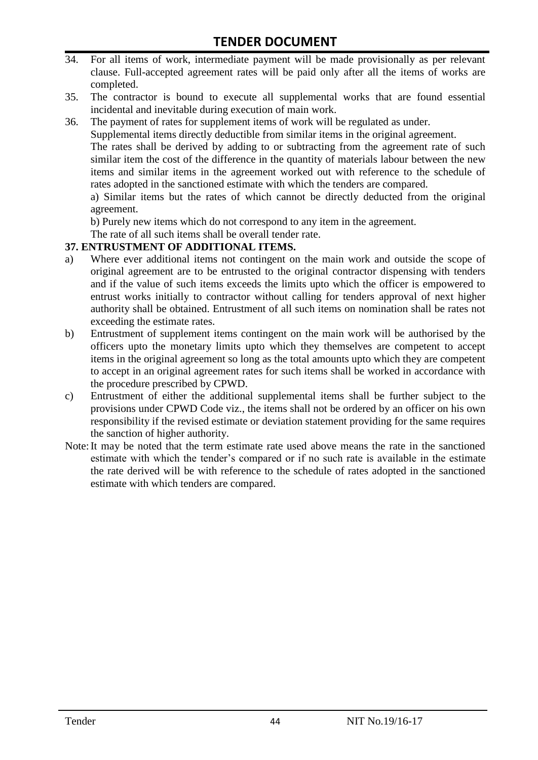- 34. For all items of work, intermediate payment will be made provisionally as per relevant clause. Full-accepted agreement rates will be paid only after all the items of works are completed.
- 35. The contractor is bound to execute all supplemental works that are found essential incidental and inevitable during execution of main work.
- 36. The payment of rates for supplement items of work will be regulated as under.

Supplemental items directly deductible from similar items in the original agreement.

The rates shall be derived by adding to or subtracting from the agreement rate of such similar item the cost of the difference in the quantity of materials labour between the new items and similar items in the agreement worked out with reference to the schedule of rates adopted in the sanctioned estimate with which the tenders are compared.

a) Similar items but the rates of which cannot be directly deducted from the original agreement.

b) Purely new items which do not correspond to any item in the agreement.

The rate of all such items shall be overall tender rate.

#### **37. ENTRUSTMENT OF ADDITIONAL ITEMS.**

- a) Where ever additional items not contingent on the main work and outside the scope of original agreement are to be entrusted to the original contractor dispensing with tenders and if the value of such items exceeds the limits upto which the officer is empowered to entrust works initially to contractor without calling for tenders approval of next higher authority shall be obtained. Entrustment of all such items on nomination shall be rates not exceeding the estimate rates.
- b) Entrustment of supplement items contingent on the main work will be authorised by the officers upto the monetary limits upto which they themselves are competent to accept items in the original agreement so long as the total amounts upto which they are competent to accept in an original agreement rates for such items shall be worked in accordance with the procedure prescribed by CPWD.
- c) Entrustment of either the additional supplemental items shall be further subject to the provisions under CPWD Code viz., the items shall not be ordered by an officer on his own responsibility if the revised estimate or deviation statement providing for the same requires the sanction of higher authority.
- Note:It may be noted that the term estimate rate used above means the rate in the sanctioned estimate with which the tender"s compared or if no such rate is available in the estimate the rate derived will be with reference to the schedule of rates adopted in the sanctioned estimate with which tenders are compared.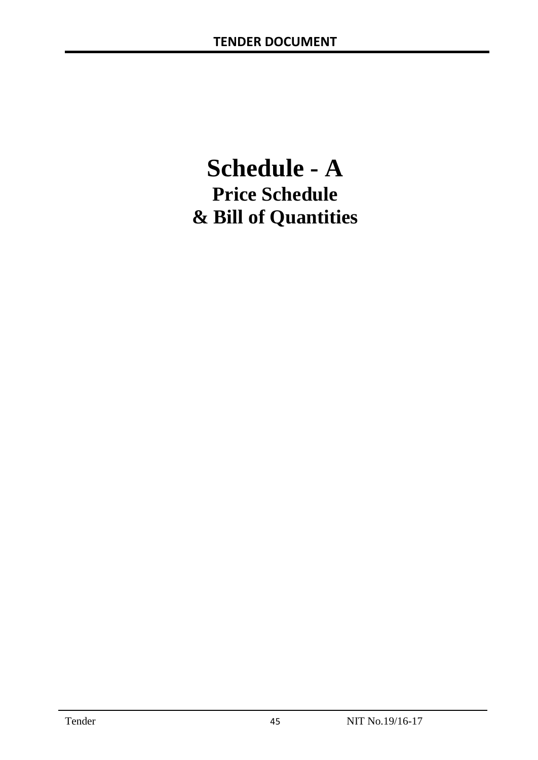# **Schedule - A Price Schedule & Bill of Quantities**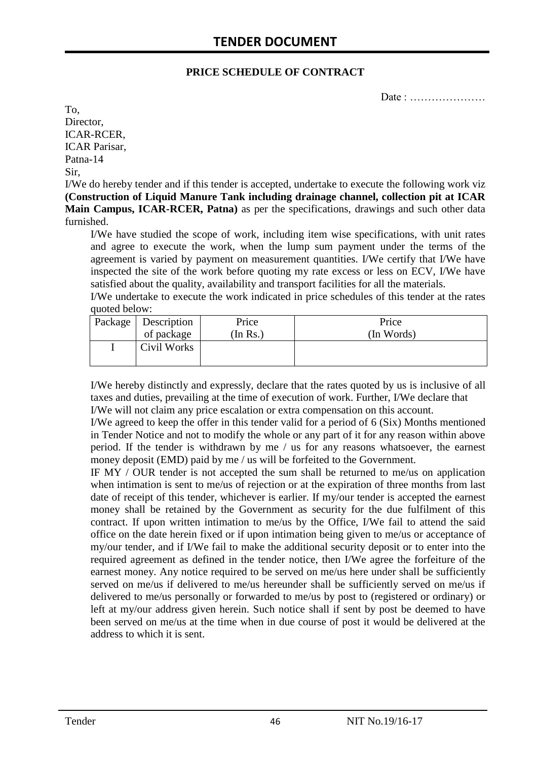#### **PRICE SCHEDULE OF CONTRACT**

Date : …………………

To, Director, ICAR-RCER, ICAR Parisar, Patna-14 Sir,

I/We do hereby tender and if this tender is accepted, undertake to execute the following work viz **(Construction of Liquid Manure Tank including drainage channel, collection pit at ICAR Main Campus, ICAR-RCER, Patna)** as per the specifications, drawings and such other data furnished.

I/We have studied the scope of work, including item wise specifications, with unit rates and agree to execute the work, when the lump sum payment under the terms of the agreement is varied by payment on measurement quantities. I/We certify that I/We have inspected the site of the work before quoting my rate excess or less on ECV, I/We have satisfied about the quality, availability and transport facilities for all the materials.

I/We undertake to execute the work indicated in price schedules of this tender at the rates quoted below:

| Package   Description | Price          | Price      |
|-----------------------|----------------|------------|
| of package            | $($ In Rs. $)$ | (In Words) |
| Civil Works           |                |            |

I/We hereby distinctly and expressly, declare that the rates quoted by us is inclusive of all taxes and duties, prevailing at the time of execution of work. Further, I/We declare that I/We will not claim any price escalation or extra compensation on this account.

I/We agreed to keep the offer in this tender valid for a period of 6 (Six) Months mentioned in Tender Notice and not to modify the whole or any part of it for any reason within above period. If the tender is withdrawn by me / us for any reasons whatsoever, the earnest money deposit (EMD) paid by me / us will be forfeited to the Government.

IF MY / OUR tender is not accepted the sum shall be returned to me/us on application when intimation is sent to me/us of rejection or at the expiration of three months from last date of receipt of this tender, whichever is earlier. If my/our tender is accepted the earnest money shall be retained by the Government as security for the due fulfilment of this contract. If upon written intimation to me/us by the Office, I/We fail to attend the said office on the date herein fixed or if upon intimation being given to me/us or acceptance of my/our tender, and if I/We fail to make the additional security deposit or to enter into the required agreement as defined in the tender notice, then I/We agree the forfeiture of the earnest money. Any notice required to be served on me/us here under shall be sufficiently served on me/us if delivered to me/us hereunder shall be sufficiently served on me/us if delivered to me/us personally or forwarded to me/us by post to (registered or ordinary) or left at my/our address given herein. Such notice shall if sent by post be deemed to have been served on me/us at the time when in due course of post it would be delivered at the address to which it is sent.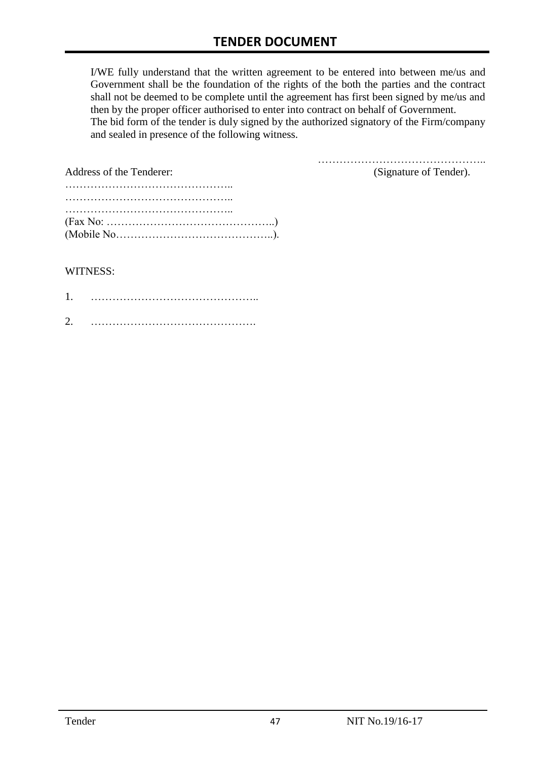I/WE fully understand that the written agreement to be entered into between me/us and Government shall be the foundation of the rights of the both the parties and the contract shall not be deemed to be complete until the agreement has first been signed by me/us and then by the proper officer authorised to enter into contract on behalf of Government. The bid form of the tender is duly signed by the authorized signatory of the Firm/company and sealed in presence of the following witness.

| Address of the Tenderer:                                                                  | (Signature of Tender). |
|-------------------------------------------------------------------------------------------|------------------------|
|                                                                                           |                        |
|                                                                                           |                        |
|                                                                                           |                        |
| $(Fax No: \dots \dots \dots \dots \dots \dots \dots \dots \dots \dots \dots \dots \dots)$ |                        |
|                                                                                           |                        |

#### WITNESS:

| 1 |  |
|---|--|
| ⌒ |  |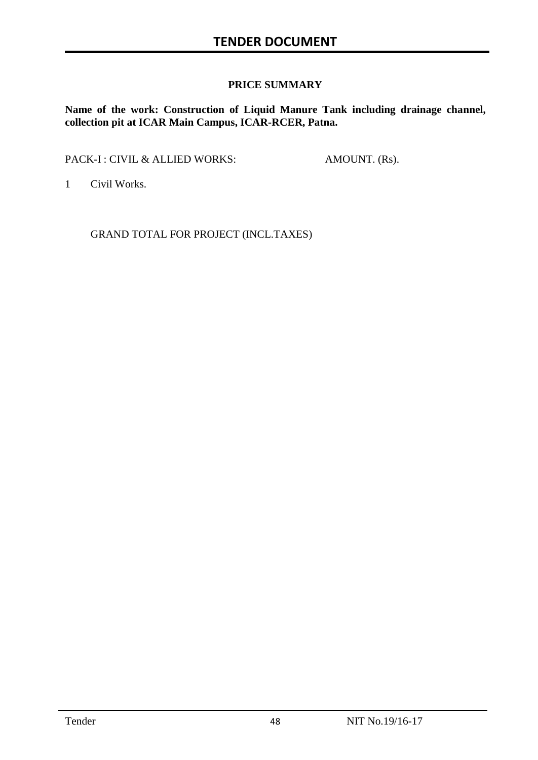#### **PRICE SUMMARY**

**Name of the work: Construction of Liquid Manure Tank including drainage channel, collection pit at ICAR Main Campus, ICAR-RCER, Patna.**

PACK-I : CIVIL & ALLIED WORKS: AMOUNT. (Rs).

1 Civil Works.

GRAND TOTAL FOR PROJECT (INCL.TAXES)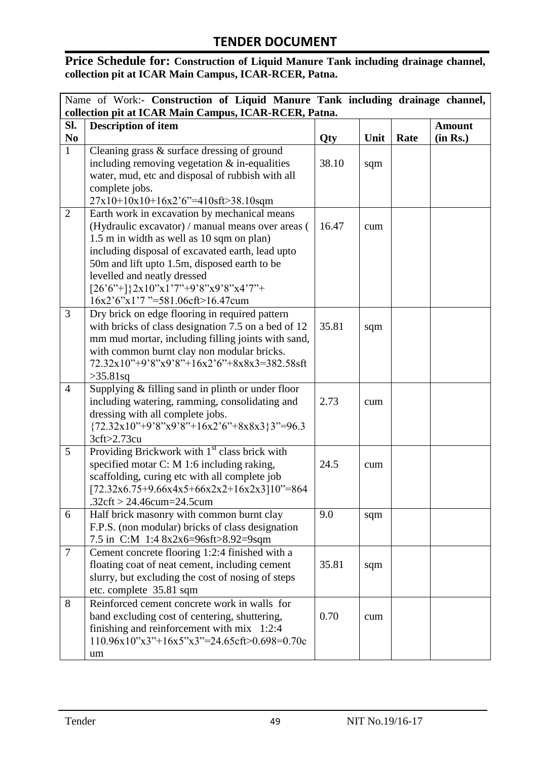#### **Price Schedule for: Construction of Liquid Manure Tank including drainage channel, collection pit at ICAR Main Campus, ICAR-RCER, Patna.**

| Name of Work:- Construction of Liquid Manure Tank including drainage channel, |                                                                                               |            |      |      |               |
|-------------------------------------------------------------------------------|-----------------------------------------------------------------------------------------------|------------|------|------|---------------|
|                                                                               | collection pit at ICAR Main Campus, ICAR-RCER, Patna.                                         |            |      |      |               |
| SI.                                                                           | <b>Description of item</b>                                                                    |            |      |      | <b>Amount</b> |
| N <sub>0</sub>                                                                |                                                                                               | <b>Qty</b> | Unit | Rate | (in Rs.)      |
| $\mathbf{1}$                                                                  | Cleaning grass $\&$ surface dressing of ground                                                |            |      |      |               |
|                                                                               | including removing vegetation $&$ in-equalities                                               | 38.10      | sqm  |      |               |
|                                                                               | water, mud, etc and disposal of rubbish with all                                              |            |      |      |               |
|                                                                               | complete jobs.                                                                                |            |      |      |               |
|                                                                               | 27x10+10x10+16x2'6"=410sft>38.10sqm                                                           |            |      |      |               |
| $\overline{2}$                                                                | Earth work in excavation by mechanical means                                                  | 16.47      |      |      |               |
|                                                                               | (Hydraulic excavator) / manual means over areas (                                             |            | cum  |      |               |
|                                                                               | 1.5 m in width as well as 10 sqm on plan)<br>including disposal of excavated earth, lead upto |            |      |      |               |
|                                                                               | 50m and lift upto 1.5m, disposed earth to be                                                  |            |      |      |               |
|                                                                               | levelled and neatly dressed                                                                   |            |      |      |               |
|                                                                               | $[26'6''+]$ 2x10"x1'7"+9'8"x9'8"x4'7"+                                                        |            |      |      |               |
|                                                                               | 16x2'6"x1'7"=581.06cft>16.47cum                                                               |            |      |      |               |
| $\overline{3}$                                                                | Dry brick on edge flooring in required pattern                                                |            |      |      |               |
|                                                                               | with bricks of class designation 7.5 on a bed of 12                                           | 35.81      | sqm  |      |               |
|                                                                               | mm mud mortar, including filling joints with sand,                                            |            |      |      |               |
|                                                                               | with common burnt clay non modular bricks.                                                    |            |      |      |               |
|                                                                               | 72.32x10"+9'8"x9'8"+16x2'6"+8x8x3=382.58sft                                                   |            |      |      |               |
|                                                                               | $>35.81$ sq                                                                                   |            |      |      |               |
| $\overline{4}$                                                                | Supplying $&$ filling sand in plinth or under floor                                           |            |      |      |               |
|                                                                               | including watering, ramming, consolidating and                                                | 2.73       | cum  |      |               |
|                                                                               | dressing with all complete jobs.                                                              |            |      |      |               |
|                                                                               | ${72.32x10" + 9'8"x9'8" + 16x2'6" + 8x8x3}3" = 96.3$                                          |            |      |      |               |
|                                                                               | 3cft>2.73cu                                                                                   |            |      |      |               |
| 5                                                                             | Providing Brickwork with 1 <sup>st</sup> class brick with                                     |            |      |      |               |
|                                                                               | specified motar C: M 1:6 including raking,                                                    | 24.5       | cum  |      |               |
|                                                                               | scaffolding, curing etc with all complete job                                                 |            |      |      |               |
|                                                                               | $[72.32x6.75+9.66x4x5+66x2x2+16x2x3]10" = 864$                                                |            |      |      |               |
|                                                                               | .32cft > 24.46cum=24.5cum                                                                     |            |      |      |               |
| 6                                                                             | Half brick masonry with common burnt clay<br>F.P.S. (non modular) bricks of class designation | 9.0        | sqm  |      |               |
|                                                                               | 7.5 in C:M 1:4 8x2x6=96sft>8.92=9sqm                                                          |            |      |      |               |
| $\overline{7}$                                                                | Cement concrete flooring 1:2:4 finished with a                                                |            |      |      |               |
|                                                                               | floating coat of neat cement, including cement                                                | 35.81      | sqm  |      |               |
|                                                                               | slurry, but excluding the cost of nosing of steps                                             |            |      |      |               |
|                                                                               | etc. complete 35.81 sqm                                                                       |            |      |      |               |
| 8                                                                             | Reinforced cement concrete work in walls for                                                  |            |      |      |               |
|                                                                               | band excluding cost of centering, shuttering,                                                 | 0.70       | cum  |      |               |
|                                                                               | finishing and reinforcement with mix 1:2:4                                                    |            |      |      |               |
|                                                                               | $110.96x10"x3"+16x5"x3" = 24.65cft > 0.698 = 0.70c$                                           |            |      |      |               |
|                                                                               | um                                                                                            |            |      |      |               |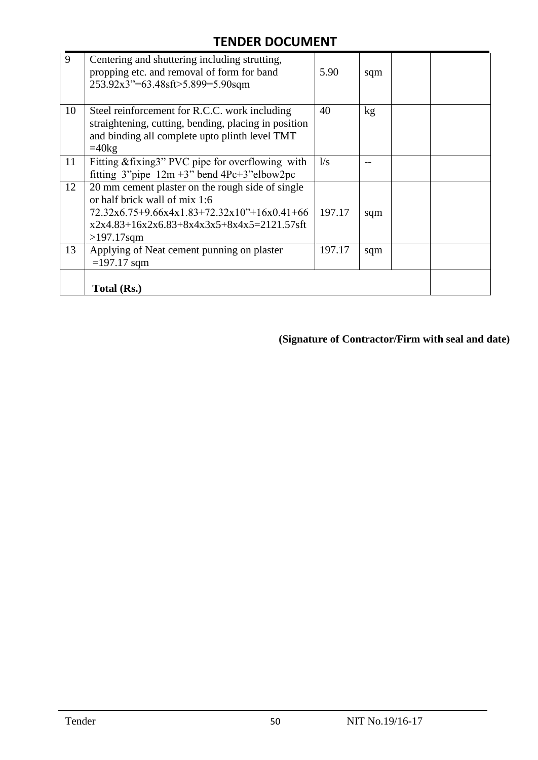| 9  | Centering and shuttering including strutting,<br>propping etc. and removal of form for band<br>253.92x3"=63.48sft>5.899=5.90sqm                                                                      | 5.90   | sqm |  |
|----|------------------------------------------------------------------------------------------------------------------------------------------------------------------------------------------------------|--------|-----|--|
| 10 | Steel reinforcement for R.C.C. work including<br>straightening, cutting, bending, placing in position<br>and binding all complete upto plinth level TMT<br>$=40$ kg                                  | 40     | kg  |  |
| 11 | Fitting & fixing 3" PVC pipe for overflowing with<br>fitting $3^{\prime\prime}$ pipe $12m + 3^{\prime\prime}$ bend $4Pc+3^{\prime\prime}$ elbow $2pc$                                                | 1/s    |     |  |
| 12 | 20 mm cement plaster on the rough side of single<br>or half brick wall of mix 1:6<br>$72.32x6.75+9.66x4x1.83+72.32x10"+16x0.41+66$<br>$x2x4.83+16x2x6.83+8x4x3x5+8x4x5=2121.57$ sft<br>$>197.17$ sqm | 197.17 | sqm |  |
| 13 | Applying of Neat cement punning on plaster<br>$=197.17$ sqm                                                                                                                                          | 197.17 | sqm |  |
|    | Total (Rs.)                                                                                                                                                                                          |        |     |  |

**(Signature of Contractor/Firm with seal and date)**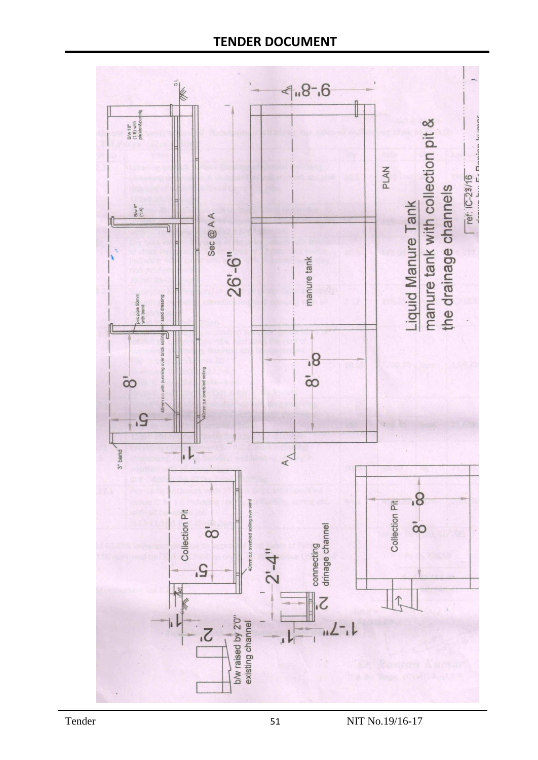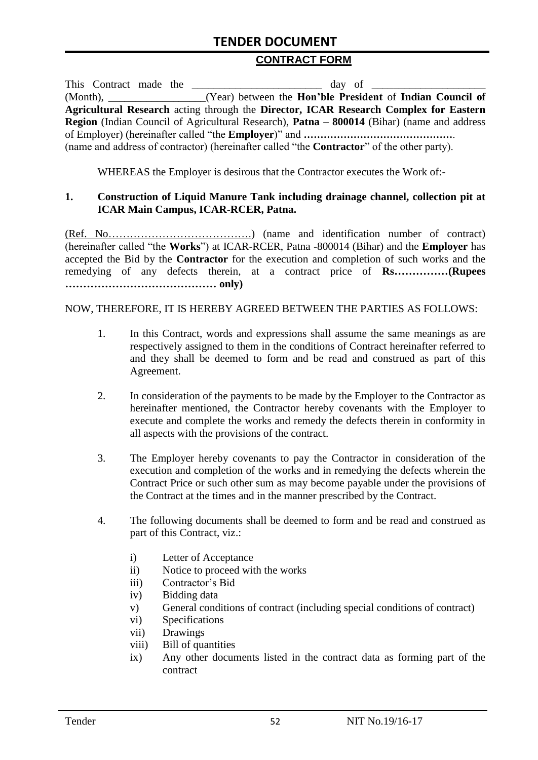#### **CONTRACT FORM**

|                                                                                                          | This Contract made the | $day$ of $\qquad$                                                                                  |  |  |
|----------------------------------------------------------------------------------------------------------|------------------------|----------------------------------------------------------------------------------------------------|--|--|
|                                                                                                          |                        | (Month), _________________(Year) between the <b>Hon'ble President</b> of <b>Indian Council of</b>  |  |  |
|                                                                                                          |                        | Agricultural Research acting through the Director, ICAR Research Complex for Eastern               |  |  |
| <b>Region</b> (Indian Council of Agricultural Research), <b>Patna – 800014</b> (Bihar) (name and address |                        |                                                                                                    |  |  |
|                                                                                                          |                        |                                                                                                    |  |  |
|                                                                                                          |                        | (name and address of contractor) (hereinafter called "the <b>Contractor</b> " of the other party). |  |  |

WHEREAS the Employer is desirous that the Contractor executes the Work of:-

#### **1. Construction of Liquid Manure Tank including drainage channel, collection pit at ICAR Main Campus, ICAR-RCER, Patna.**

(Ref. No………………………………….) (name and identification number of contract) (hereinafter called "the **Works**") at ICAR-RCER, Patna -800014 (Bihar) and the **Employer** has accepted the Bid by the **Contractor** for the execution and completion of such works and the remedying of any defects therein, at a contract price of **Rs……………(Rupees …………………………………… only)**

#### NOW, THEREFORE, IT IS HEREBY AGREED BETWEEN THE PARTIES AS FOLLOWS:

- 1. In this Contract, words and expressions shall assume the same meanings as are respectively assigned to them in the conditions of Contract hereinafter referred to and they shall be deemed to form and be read and construed as part of this Agreement.
- 2. In consideration of the payments to be made by the Employer to the Contractor as hereinafter mentioned, the Contractor hereby covenants with the Employer to execute and complete the works and remedy the defects therein in conformity in all aspects with the provisions of the contract.
- 3. The Employer hereby covenants to pay the Contractor in consideration of the execution and completion of the works and in remedying the defects wherein the Contract Price or such other sum as may become payable under the provisions of the Contract at the times and in the manner prescribed by the Contract.
- 4. The following documents shall be deemed to form and be read and construed as part of this Contract, viz.:
	- i) Letter of Acceptance
	- ii) Notice to proceed with the works
	- iii) Contractor's Bid
	- iv) Bidding data
	- v) General conditions of contract (including special conditions of contract)
	- vi) Specifications
	- vii) Drawings
	- viii) Bill of quantities
	- ix) Any other documents listed in the contract data as forming part of the contract